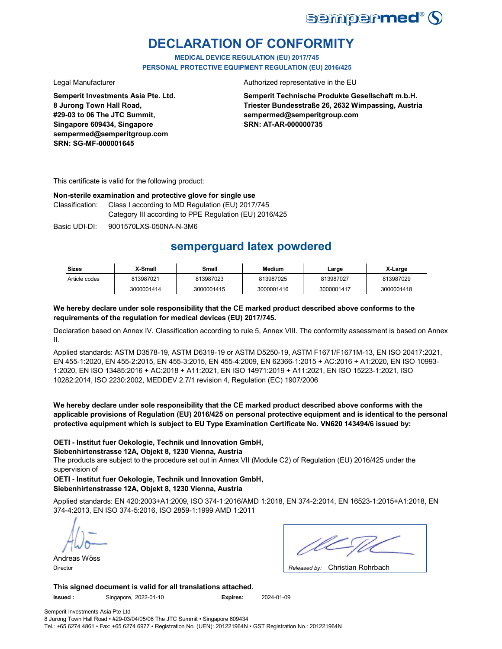

# **DECLARATION OF CONFORMITY**

**MEDICAL DEVICE REGULATION (EU) 2017/745 PERSONAL PROTECTIVE EQUIPMENT REGULATION (EU) 2016/425**

**Semperit Investments Asia Pte. Ltd. 8 Jurong Town Hall Road, #29-03 to 06 The JTC Summit, Singapore 609434, Singapore sempermed@semperitgroup.com SRN: SG-MF-000001645**

### Legal Manufacturer **Authorized representative in the EU**

**Semperit Technische Produkte Gesellschaft m.b.H. Triester Bundesstraße 26, 2632 Wimpassing, Austria sempermed@semperitgroup.com SRN: AT-AR-000000735**

This certificate is valid for the following product:

## **Non-sterile examination and protective glove for single use**

Class I according to MD Regulation (EU) 2017/745 Category III according to PPE Regulation (EU) 2016/425 Classification:

Basic UDI-DI: 9001570LXS-050NA-N-3M6

# **semperguard latex powdered**

| <b>Sizes</b>  | X-Small    | Small      | <b>Medium</b> | ∟arge      | X-Large    |
|---------------|------------|------------|---------------|------------|------------|
| Article codes | 813987021  | 813987023  | 813987025     | 813987027  | 813987029  |
|               | 3000001414 | 3000001415 | 3000001416    | 3000001417 | 3000001418 |

## **We hereby declare under sole responsibility that the CE marked product described above conforms to the requirements of the regulation for medical devices (EU) 2017/745.**

Declaration based on Annex IV. Classification according to rule 5, Annex VIII. The conformity assessment is based on Annex II.

Applied standards: ASTM D3578-19, ASTM D6319-19 or ASTM D5250-19, ASTM F1671/F1671M-13, EN ISO 20417:2021, EN 455-1:2020, EN 455-2:2015, EN 455-3:2015, EN 455-4:2009, EN 62366-1:2015 + AC:2016 + A1:2020, EN ISO 10993- 1:2020, EN ISO 13485:2016 + AC:2018 + A11:2021, EN ISO 14971:2019 + A11:2021, EN ISO 15223-1:2021, ISO 10282:2014, ISO 2230:2002, MEDDEV 2.7/1 revision 4, Regulation (EC) 1907/2006

**We hereby declare under sole responsibility that the CE marked product described above conforms with the applicable provisions of Regulation (EU) 2016/425 on personal protective equipment and is identical to the personal protective equipment which is subject to EU Type Examination Certificate No. VN620 143494/6 issued by:**

## **OETI - Institut fuer Oekologie, Technik und Innovation GmbH,**

**Siebenhirtenstrasse 12A, Objekt 8, 1230 Vienna, Austria**

The products are subject to the procedure set out in Annex VII (Module C2) of Regulation (EU) 2016/425 under the supervision of

**OETI - Institut fuer Oekologie, Technik und Innovation GmbH, Siebenhirtenstrasse 12A, Objekt 8, 1230 Vienna, Austria**

Applied standards: EN 420:2003+A1:2009, ISO 374-1:2016/AMD 1:2018, EN 374-2:2014, EN 16523-1:2015+A1:2018, EN 374-4:2013, EN ISO 374-5:2016, ISO 2859-1:1999 AMD 1:2011

Andreas Wöss

| ٠<br><b></b><br><br>٠ |
|-----------------------|

Christian Rohrbach Director *Released by:* 

**This signed document is valid for all translations attached.**

**Issued :** Singapore, 2022-01-10 **Expires:** 2024-01-09

Semperit Investments Asia Pte Ltd 8 Jurong Town Hall Road • #29-03/04/05/06 The JTC Summit • Singapore 609434

Tel.: +65 6274 4861 • Fax: +65 6274 6977 • Registration No. (UEN): 201221964N • GST Registration No.: 201221964N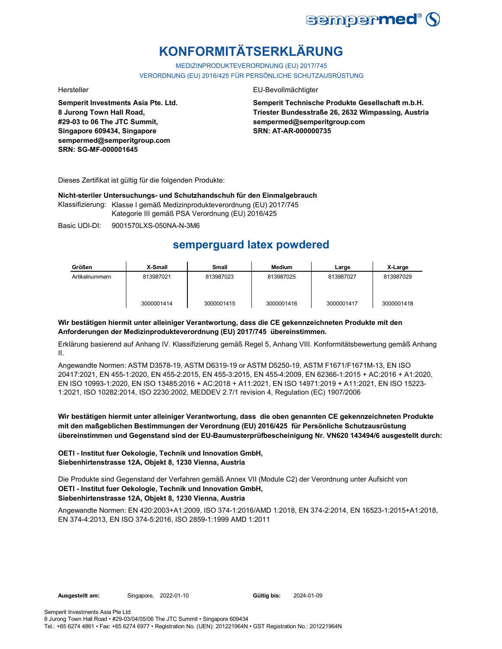

# **KONFORMITÄTSERKLÄRUNG**

MEDIZINPRODUKTEVERORDNUNG (EU) 2017/745 VERORDNUNG (EU) 2016/425 FÜR PERSÖNLICHE SCHUTZAUSRÜSTUNG

**Semperit Investments Asia Pte. Ltd. 8 Jurong Town Hall Road, #29-03 to 06 The JTC Summit, Singapore 609434, Singapore sempermed@semperitgroup.com SRN: SG-MF-000001645**

## Hersteller EU-Bevollmächtigter

**Semperit Technische Produkte Gesellschaft m.b.H. Triester Bundesstraße 26, 2632 Wimpassing, Austria sempermed@semperitgroup.com SRN: AT-AR-000000735**

Dieses Zertifikat ist gültig für die folgenden Produkte:

**Nicht-steriler Untersuchungs- und Schutzhandschuh für den Einmalgebrauch**

Klassifizierung: Klasse I gemäß Medizinprodukteverordnung (EU) 2017/745 Kategorie III gemäß PSA Verordnung (EU) 2016/425

Basic UDI-DI: 9001570LXS-050NA-N-3M6

# **semperguard latex powdered**

| Größen         | X-Small    | <b>Small</b> | <b>Medium</b> | Large      | X-Large    |
|----------------|------------|--------------|---------------|------------|------------|
| Artikelnummern | 813987021  | 813987023    | 813987025     | 813987027  | 813987029  |
|                | 3000001414 | 3000001415   | 3000001416    | 3000001417 | 3000001418 |

# **Wir bestätigen hiermit unter alleiniger Verantwortung, dass die CE gekennzeichneten Produkte mit den Anforderungen der Medizinprodukteverordnung (EU) 2017/745 übereinstimmen.**

Erklärung basierend auf Anhang IV. Klassifizierung gemäß Regel 5, Anhang VIII. Konformitätsbewertung gemäß Anhang II.

Angewandte Normen: ASTM D3578-19, ASTM D6319-19 or ASTM D5250-19, ASTM F1671/F1671M-13, EN ISO 20417:2021, EN 455-1:2020, EN 455-2:2015, EN 455-3:2015, EN 455-4:2009, EN 62366-1:2015 + AC:2016 + A1:2020, EN ISO 10993-1:2020, EN ISO 13485:2016 + AC:2018 + A11:2021, EN ISO 14971:2019 + A11:2021, EN ISO 15223- 1:2021, ISO 10282:2014, ISO 2230:2002, MEDDEV 2.7/1 revision 4, Regulation (EC) 1907/2006

**Wir bestätigen hiermit unter alleiniger Verantwortung, dass die oben genannten CE gekennzeichneten Produkte mit den maßgeblichen Bestimmungen der Verordnung (EU) 2016/425 für Persönliche Schutzausrüstung übereinstimmen und Gegenstand sind der EU-Baumusterprüfbescheinigung Nr. VN620 143494/6 ausgestellt durch:**

# **OETI - Institut fuer Oekologie, Technik und Innovation GmbH, Siebenhirtenstrasse 12A, Objekt 8, 1230 Vienna, Austria**

Die Produkte sind Gegenstand der Verfahren gemäß Annex VII (Module C2) der Verordnung unter Aufsicht von **OETI - Institut fuer Oekologie, Technik und Innovation GmbH, Siebenhirtenstrasse 12A, Objekt 8, 1230 Vienna, Austria**

Angewandte Normen: EN 420:2003+A1:2009, ISO 374-1:2016/AMD 1:2018, EN 374-2:2014, EN 16523-1:2015+A1:2018, EN 374-4:2013, EN ISO 374-5:2016, ISO 2859-1:1999 AMD 1:2011

Gültig bis: 2024-01-09

Semperit Investments Asia Pte Ltd 8 Jurong Town Hall Road • #29-03/04/05/06 The JTC Summit • Singapore 609434 Tel.: +65 6274 4861 • Fax: +65 6274 6977 • Registration No. (UEN): 201221964N • GST Registration No.: 201221964N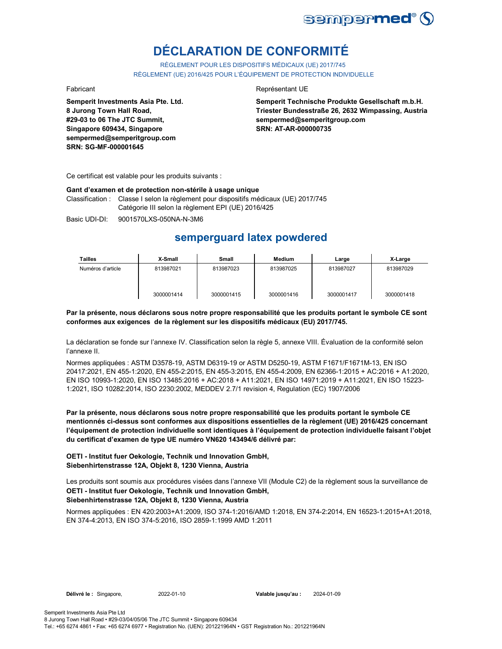

# **DÉCLARATION DE CONFORMITÉ**

RÈGLEMENT POUR LES DISPOSITIFS MÉDICAUX (UE) 2017/745 RÈGLEMENT (UE) 2016/425 POUR L'ÉQUIPEMENT DE PROTECTION INDIVIDUELLE

**Semperit Investments Asia Pte. Ltd. 8 Jurong Town Hall Road, #29-03 to 06 The JTC Summit, Singapore 609434, Singapore sempermed@semperitgroup.com SRN: SG-MF-000001645**

### Fabricant **Representant UE**

**Semperit Technische Produkte Gesellschaft m.b.H. Triester Bundesstraße 26, 2632 Wimpassing, Austria sempermed@semperitgroup.com SRN: AT-AR-000000735**

Ce certificat est valable pour les produits suivants :

### **Gant d'examen et de protection non-stérile à usage unique**

Classification : Classe I selon la règlement pour dispositifs médicaux (UE) 2017/745 Catégorie III selon la règlement EPI (UE) 2016/425

Basic UDI-DI: 9001570LXS-050NA-N-3M6

# **semperguard latex powdered**

| <b>Tailles</b>    | X-Small    | Small      | <b>Medium</b> | Large      | X-Large    |
|-------------------|------------|------------|---------------|------------|------------|
| Numéros d'article | 813987021  | 813987023  | 813987025     | 813987027  | 813987029  |
|                   | 3000001414 | 3000001415 | 3000001416    | 3000001417 | 3000001418 |

**Par la présente, nous déclarons sous notre propre responsabilité que les produits portant le symbole CE sont conformes aux exigences de la règlement sur les dispositifs médicaux (EU) 2017/745.**

La déclaration se fonde sur l'annexe IV. Classification selon la règle 5, annexe VIII. Évaluation de la conformité selon l'annexe II.

Normes appliquées : ASTM D3578-19, ASTM D6319-19 or ASTM D5250-19, ASTM F1671/F1671M-13, EN ISO 20417:2021, EN 455-1:2020, EN 455-2:2015, EN 455-3:2015, EN 455-4:2009, EN 62366-1:2015 + AC:2016 + A1:2020, EN ISO 10993-1:2020, EN ISO 13485:2016 + AC:2018 + A11:2021, EN ISO 14971:2019 + A11:2021, EN ISO 15223- 1:2021, ISO 10282:2014, ISO 2230:2002, MEDDEV 2.7/1 revision 4, Regulation (EC) 1907/2006

**Par la présente, nous déclarons sous notre propre responsabilité que les produits portant le symbole CE mentionnés ci-dessus sont conformes aux dispositions essentielles de la règlement (UE) 2016/425 concernant l'équipement de protection individuelle sont identiques à l'équipement de protection individuelle faisant l'objet du certificat d'examen de type UE numéro VN620 143494/6 délivré par:**

## **OETI - Institut fuer Oekologie, Technik und Innovation GmbH, Siebenhirtenstrasse 12A, Objekt 8, 1230 Vienna, Austria**

Les produits sont soumis aux procédures visées dans l'annexe VII (Module C2) de la règlement sous la surveillance de **OETI - Institut fuer Oekologie, Technik und Innovation GmbH, Siebenhirtenstrasse 12A, Objekt 8, 1230 Vienna, Austria**

Normes appliquées : EN 420:2003+A1:2009, ISO 374-1:2016/AMD 1:2018, EN 374-2:2014, EN 16523-1:2015+A1:2018, EN 374-4:2013, EN ISO 374-5:2016, ISO 2859-1:1999 AMD 1:2011

**Délivré le :** Singapore, 2022-01-10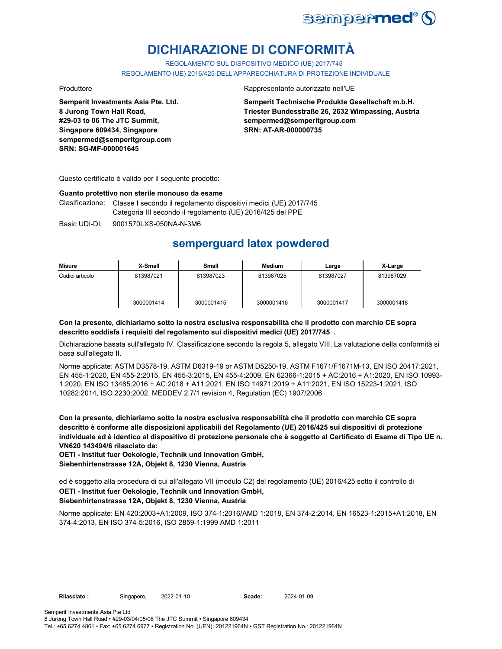

# **DICHIARAZIONE DI CONFORMITÀ**

REGOLAMENTO SUL DISPOSITIVO MEDICO (UE) 2017/745

REGOLAMENTO (UE) 2016/425 DELL'APPARECCHIATURA DI PROTEZIONE INDIVIDUALE

**Semperit Investments Asia Pte. Ltd. 8 Jurong Town Hall Road, #29-03 to 06 The JTC Summit, Singapore 609434, Singapore sempermed@semperitgroup.com SRN: SG-MF-000001645**

### Produttore Rappresentante autorizzato nell'UE

**Semperit Technische Produkte Gesellschaft m.b.H. Triester Bundesstraße 26, 2632 Wimpassing, Austria sempermed@semperitgroup.com SRN: AT-AR-000000735**

Questo certificato è valido per il seguente prodotto:

### **Guanto protettivo non sterile monouso da esame**

Clasificazione: Classe I secondo il regolamento dispositivi medici (UE) 2017/745 Categoria III secondo il regolamento (UE) 2016/425 del PPE

Basic UDI-DI: 9001570LXS-050NA-N-3M6

# **semperguard latex powdered**

| Misure          | X-Small    | Small      | Medium     | Large      | X-Large    |
|-----------------|------------|------------|------------|------------|------------|
| Codici articolo | 813987021  | 813987023  | 813987025  | 813987027  | 813987029  |
|                 | 3000001414 | 3000001415 | 3000001416 | 3000001417 | 3000001418 |

## **Con la presente, dichiariamo sotto la nostra esclusiva responsabilità che il prodotto con marchio CE sopra descritto soddisfa i requisiti del regolamento sui dispositivi medici (UE) 2017/745 .**

Dichiarazione basata sull'allegato IV. Classificazione secondo la regola 5, allegato VIII. La valutazione della conformità si basa sull'allegato II.

Norme applicate: ASTM D3578-19, ASTM D6319-19 or ASTM D5250-19, ASTM F1671/F1671M-13, EN ISO 20417:2021, EN 455-1:2020, EN 455-2:2015, EN 455-3:2015, EN 455-4:2009, EN 62366-1:2015 + AC:2016 + A1:2020, EN ISO 10993- 1:2020, EN ISO 13485:2016 + AC:2018 + A11:2021, EN ISO 14971:2019 + A11:2021, EN ISO 15223-1:2021, ISO 10282:2014, ISO 2230:2002, MEDDEV 2.7/1 revision 4, Regulation (EC) 1907/2006

**Con la presente, dichiariamo sotto la nostra esclusiva responsabilità che il prodotto con marchio CE sopra descritto è conforme alle disposizioni applicabili del Regolamento (UE) 2016/425 sui dispositivi di protezione individuale ed è identico al dispositivo di protezione personale che è soggetto al Certificato di Esame di Tipo UE n. VN620 143494/6 rilasciato da:**

**OETI - Institut fuer Oekologie, Technik und Innovation GmbH, Siebenhirtenstrasse 12A, Objekt 8, 1230 Vienna, Austria**

ed è soggetto alla procedura di cui all'allegato VII (modulo C2) del regolamento (UE) 2016/425 sotto il controllo di **OETI - Institut fuer Oekologie, Technik und Innovation GmbH,** 

# **Siebenhirtenstrasse 12A, Objekt 8, 1230 Vienna, Austria**

Norme applicate: EN 420:2003+A1:2009, ISO 374-1:2016/AMD 1:2018, EN 374-2:2014, EN 16523-1:2015+A1:2018, EN 374-4:2013, EN ISO 374-5:2016, ISO 2859-1:1999 AMD 1:2011

2022-01-10 2024-01-09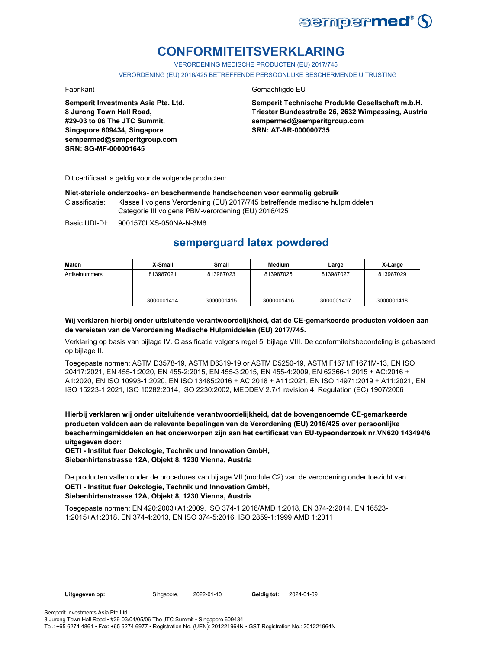

# **CONFORMITEITSVERKLARING**

VERORDENING MEDISCHE PRODUCTEN (EU) 2017/745

VERORDENING (EU) 2016/425 BETREFFENDE PERSOONLIJKE BESCHERMENDE UITRUSTING

**Semperit Investments Asia Pte. Ltd. 8 Jurong Town Hall Road, #29-03 to 06 The JTC Summit, Singapore 609434, Singapore sempermed@semperitgroup.com SRN: SG-MF-000001645**

## Fabrikant Gemachtigde EU

**Semperit Technische Produkte Gesellschaft m.b.H. Triester Bundesstraße 26, 2632 Wimpassing, Austria sempermed@semperitgroup.com SRN: AT-AR-000000735**

Dit certificaat is geldig voor de volgende producten:

### **Niet-steriele onderzoeks- en beschermende handschoenen voor eenmalig gebruik**

Classificatie: Klasse I volgens Verordening (EU) 2017/745 betreffende medische hulpmiddelen Categorie III volgens PBM-verordening (EU) 2016/425

Basic UDI-DI: 9001570LXS-050NA-N-3M6

# **semperguard latex powdered**

| Maten          | X-Small    | Small      | Medium     | Large      | X-Large    |
|----------------|------------|------------|------------|------------|------------|
| Artikelnummers | 813987021  | 813987023  | 813987025  | 813987027  | 813987029  |
|                | 3000001414 | 3000001415 | 3000001416 | 3000001417 | 3000001418 |

## **Wij verklaren hierbij onder uitsluitende verantwoordelijkheid, dat de CE-gemarkeerde producten voldoen aan de vereisten van de Verordening Medische Hulpmiddelen (EU) 2017/745.**

Verklaring op basis van bijlage IV. Classificatie volgens regel 5, bijlage VIII. De conformiteitsbeoordeling is gebaseerd op bijlage II.

Toegepaste normen: ASTM D3578-19, ASTM D6319-19 or ASTM D5250-19, ASTM F1671/F1671M-13, EN ISO 20417:2021, EN 455-1:2020, EN 455-2:2015, EN 455-3:2015, EN 455-4:2009, EN 62366-1:2015 + AC:2016 + A1:2020, EN ISO 10993-1:2020, EN ISO 13485:2016 + AC:2018 + A11:2021, EN ISO 14971:2019 + A11:2021, EN ISO 15223-1:2021, ISO 10282:2014, ISO 2230:2002, MEDDEV 2.7/1 revision 4, Regulation (EC) 1907/2006

**Hierbij verklaren wij onder uitsluitende verantwoordelijkheid, dat de bovengenoemde CE-gemarkeerde producten voldoen aan de relevante bepalingen van de Verordening (EU) 2016/425 over persoonlijke beschermingsmiddelen en het onderworpen zijn aan het certificaat van EU-typeonderzoek nr.VN620 143494/6 uitgegeven door:**

**OETI - Institut fuer Oekologie, Technik und Innovation GmbH, Siebenhirtenstrasse 12A, Objekt 8, 1230 Vienna, Austria**

De producten vallen onder de procedures van bijlage VII (module C2) van de verordening onder toezicht van **OETI - Institut fuer Oekologie, Technik und Innovation GmbH, Siebenhirtenstrasse 12A, Objekt 8, 1230 Vienna, Austria**

Toegepaste normen: EN 420:2003+A1:2009, ISO 374-1:2016/AMD 1:2018, EN 374-2:2014, EN 16523- 1:2015+A1:2018, EN 374-4:2013, EN ISO 374-5:2016, ISO 2859-1:1999 AMD 1:2011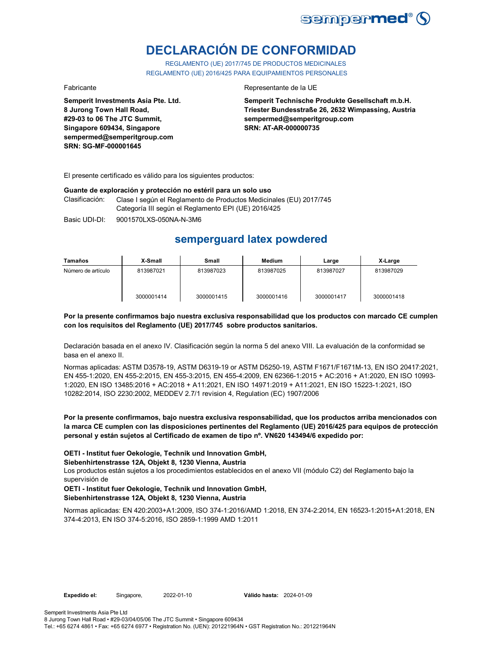

# **DECLARACIÓN DE CONFORMIDAD**

REGLAMENTO (UE) 2017/745 DE PRODUCTOS MEDICINALES REGLAMENTO (UE) 2016/425 PARA EQUIPAMIENTOS PERSONALES

**Semperit Investments Asia Pte. Ltd. 8 Jurong Town Hall Road, #29-03 to 06 The JTC Summit, Singapore 609434, Singapore sempermed@semperitgroup.com SRN: SG-MF-000001645**

### Fabricante Representante de la UE

**Semperit Technische Produkte Gesellschaft m.b.H. Triester Bundesstraße 26, 2632 Wimpassing, Austria sempermed@semperitgroup.com SRN: AT-AR-000000735**

El presente certificado es válido para los siguientes productos:

## **Guante de exploración y protección no estéril para un solo uso**

Clasificación: Clase I según el Reglamento de Productos Medicinales (EU) 2017/745 Categoría III según el Reglamento EPI (UE) 2016/425

Basic UDI-DI: 9001570LXS-050NA-N-3M6

# **semperguard latex powdered**

| Tamaños            | X-Small    | Small      | Medium     | Large      | X-Large    |
|--------------------|------------|------------|------------|------------|------------|
| Número de artículo | 813987021  | 813987023  | 813987025  | 813987027  | 813987029  |
|                    | 3000001414 | 3000001415 | 3000001416 | 3000001417 | 3000001418 |

## **Por la presente confirmamos bajo nuestra exclusiva responsabilidad que los productos con marcado CE cumplen con los requisitos del Reglamento (UE) 2017/745 sobre productos sanitarios.**

Declaración basada en el anexo IV. Clasificación según la norma 5 del anexo VIII. La evaluación de la conformidad se basa en el anexo II.

Normas aplicadas: ASTM D3578-19, ASTM D6319-19 or ASTM D5250-19, ASTM F1671/F1671M-13, EN ISO 20417:2021, EN 455-1:2020, EN 455-2:2015, EN 455-3:2015, EN 455-4:2009, EN 62366-1:2015 + AC:2016 + A1:2020, EN ISO 10993- 1:2020, EN ISO 13485:2016 + AC:2018 + A11:2021, EN ISO 14971:2019 + A11:2021, EN ISO 15223-1:2021, ISO 10282:2014, ISO 2230:2002, MEDDEV 2.7/1 revision 4, Regulation (EC) 1907/2006

## **Por la presente confirmamos, bajo nuestra exclusiva responsabilidad, que los productos arriba mencionados con la marca CE cumplen con las disposiciones pertinentes del Reglamento (UE) 2016/425 para equipos de protección personal y están sujetos al Certificado de examen de tipo nº. VN620 143494/6 expedido por:**

**OETI - Institut fuer Oekologie, Technik und Innovation GmbH,** 

### **Siebenhirtenstrasse 12A, Objekt 8, 1230 Vienna, Austria**

Los productos están sujetos a los procedimientos establecidos en el anexo VII (módulo C2) del Reglamento bajo la supervisión de

# **OETI - Institut fuer Oekologie, Technik und Innovation GmbH, Siebenhirtenstrasse 12A, Objekt 8, 1230 Vienna, Austria**

Normas aplicadas: EN 420:2003+A1:2009, ISO 374-1:2016/AMD 1:2018, EN 374-2:2014, EN 16523-1:2015+A1:2018, EN 374-4:2013, EN ISO 374-5:2016, ISO 2859-1:1999 AMD 1:2011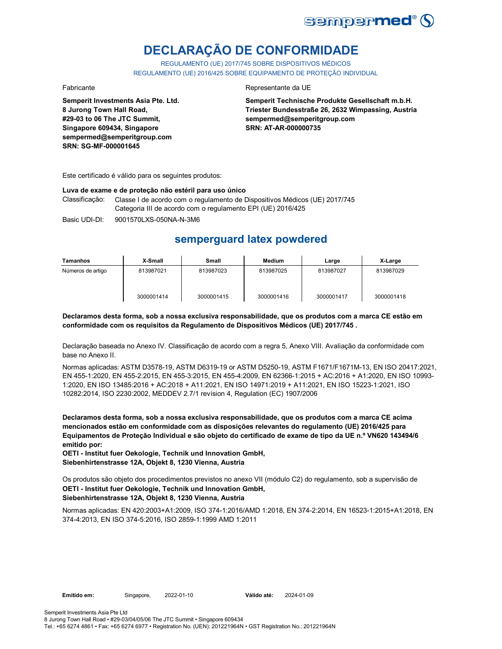

# **DECLARAÇÃO DE CONFORMIDADE**

REGULAMENTO (UE) 2017/745 SOBRE DISPOSITIVOS MÉDICOS REGULAMENTO (UE) 2016/425 SOBRE EQUIPAMENTO DE PROTEÇÃO INDIVIDUAL

**Semperit Investments Asia Pte. Ltd. 8 Jurong Town Hall Road, #29-03 to 06 The JTC Summit, Singapore 609434, Singapore sempermed@semperitgroup.com SRN: SG-MF-000001645**

## Fabricante Representante da UE

**Semperit Technische Produkte Gesellschaft m.b.H. Triester Bundesstraße 26, 2632 Wimpassing, Austria sempermed@semperitgroup.com SRN: AT-AR-000000735**

Este certificado é válido para os seguintes produtos:

### **Luva de exame e de proteção não estéril para uso único**

Classificação: Classe I de acordo com o regulamento de Dispositivos Médicos (UE) 2017/745 Categoria III de acordo com o regulamento EPI (UE) 2016/425

Basic UDI-DI: 9001570LXS-050NA-N-3M6

# **semperguard latex powdered**

| Tamanhos          | X-Small    | Small      | <b>Medium</b> | Large      | X-Large    |
|-------------------|------------|------------|---------------|------------|------------|
| Números de artigo | 813987021  | 813987023  | 813987025     | 813987027  | 813987029  |
|                   | 3000001414 | 3000001415 | 3000001416    | 3000001417 | 3000001418 |

**Declaramos desta forma, sob a nossa exclusiva responsabilidade, que os produtos com a marca CE estão em conformidade com os requisitos da Regulamento de Dispositivos Médicos (UE) 2017/745 .**

Declaração baseada no Anexo IV. Classificação de acordo com a regra 5, Anexo VIII. Avaliação da conformidade com base no Anexo II.

Normas aplicadas: ASTM D3578-19, ASTM D6319-19 or ASTM D5250-19, ASTM F1671/F1671M-13, EN ISO 20417:2021, EN 455-1:2020, EN 455-2:2015, EN 455-3:2015, EN 455-4:2009, EN 62366-1:2015 + AC:2016 + A1:2020, EN ISO 10993- 1:2020, EN ISO 13485:2016 + AC:2018 + A11:2021, EN ISO 14971:2019 + A11:2021, EN ISO 15223-1:2021, ISO 10282:2014, ISO 2230:2002, MEDDEV 2.7/1 revision 4, Regulation (EC) 1907/2006

**Declaramos desta forma, sob a nossa exclusiva responsabilidade, que os produtos com a marca CE acima mencionados estão em conformidade com as disposições relevantes do regulamento (UE) 2016/425 para Equipamentos de Proteção Individual e são objeto do certificado de exame de tipo da UE n.º VN620 143494/6 emitido por:**

**OETI - Institut fuer Oekologie, Technik und Innovation GmbH, Siebenhirtenstrasse 12A, Objekt 8, 1230 Vienna, Austria**

Os produtos são objeto dos procedimentos previstos no anexo VII (módulo C2) do regulamento, sob a supervisão de **OETI - Institut fuer Oekologie, Technik und Innovation GmbH, Siebenhirtenstrasse 12A, Objekt 8, 1230 Vienna, Austria**

Normas aplicadas: EN 420:2003+A1:2009, ISO 374-1:2016/AMD 1:2018, EN 374-2:2014, EN 16523-1:2015+A1:2018, EN 374-4:2013, EN ISO 374-5:2016, ISO 2859-1:1999 AMD 1:2011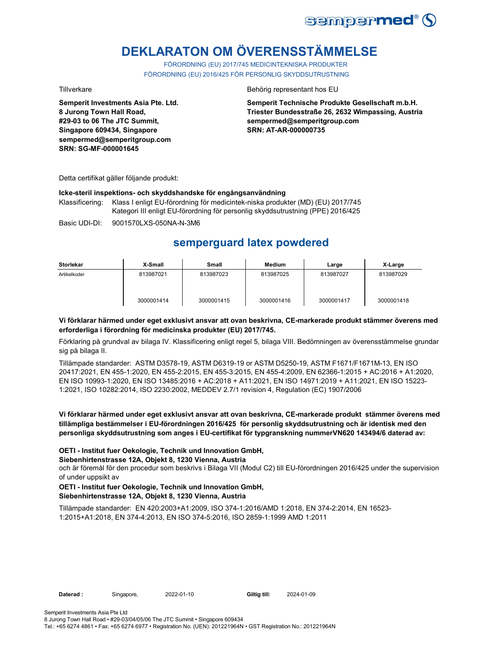

# **DEKLARATON OM ÖVERENSSTÄMMELSE**

FÖRORDNING (EU) 2017/745 MEDICINTEKNISKA PRODUKTER FÖRORDNING (EU) 2016/425 FÖR PERSONLIG SKYDDSUTRUSTNING

**Semperit Investments Asia Pte. Ltd. 8 Jurong Town Hall Road, #29-03 to 06 The JTC Summit, Singapore 609434, Singapore sempermed@semperitgroup.com SRN: SG-MF-000001645**

## Tillverkare Behörig representant hos EU

**Semperit Technische Produkte Gesellschaft m.b.H. Triester Bundesstraße 26, 2632 Wimpassing, Austria sempermed@semperitgroup.com SRN: AT-AR-000000735**

Detta certifikat gäller följande produkt:

## **Icke-steril inspektions- och skyddshandske för engångsanvändning**

Klassificering: Klass I enligt EU-förordning för medicintek-niska produkter (MD) (EU) 2017/745 Kategori III enligt EU-förordning för personlig skyddsutrustning (PPE) 2016/425

Basic UDI-DI: 9001570LXS-050NA-N-3M6

# **semperguard latex powdered**

| <b>Storlekar</b> | X-Small    | Small      | Medium     | Large      | X-Large    |
|------------------|------------|------------|------------|------------|------------|
| Artikelkoder     | 813987021  | 813987023  | 813987025  | 813987027  | 813987029  |
|                  | 3000001414 | 3000001415 | 3000001416 | 3000001417 | 3000001418 |

## **Vi förklarar härmed under eget exklusivt ansvar att ovan beskrivna, CE-markerade produkt stämmer överens med erforderliga i förordning för medicinska produkter (EU) 2017/745.**

Förklaring på grundval av bilaga IV. Klassificering enligt regel 5, bilaga VIII. Bedömningen av överensstämmelse grundar sig på bilaga II.

Tillämpade standarder: ASTM D3578-19, ASTM D6319-19 or ASTM D5250-19, ASTM F1671/F1671M-13, EN ISO 20417:2021, EN 455-1:2020, EN 455-2:2015, EN 455-3:2015, EN 455-4:2009, EN 62366-1:2015 + AC:2016 + A1:2020, EN ISO 10993-1:2020, EN ISO 13485:2016 + AC:2018 + A11:2021, EN ISO 14971:2019 + A11:2021, EN ISO 15223- 1:2021, ISO 10282:2014, ISO 2230:2002, MEDDEV 2.7/1 revision 4, Regulation (EC) 1907/2006

## **Vi förklarar härmed under eget exklusivt ansvar att ovan beskrivna, CE-markerade produkt stämmer överens med tillämpliga bestämmelser i EU-förordningen 2016/425 för personlig skyddsutrustning och är identisk med den personliga skyddsutrustning som anges i EU-certifikat för typgranskning nummerVN620 143494/6 daterad av:**

## **OETI - Institut fuer Oekologie, Technik und Innovation GmbH,**

### **Siebenhirtenstrasse 12A, Objekt 8, 1230 Vienna, Austria**

och är föremål för den procedur som beskrivs i Bilaga VII (Modul C2) till EU-förordningen 2016/425 under the supervision of under uppsikt av

## **OETI - Institut fuer Oekologie, Technik und Innovation GmbH, Siebenhirtenstrasse 12A, Objekt 8, 1230 Vienna, Austria**

Tillämpade standarder: EN 420:2003+A1:2009, ISO 374-1:2016/AMD 1:2018, EN 374-2:2014, EN 16523- 1:2015+A1:2018, EN 374-4:2013, EN ISO 374-5:2016, ISO 2859-1:1999 AMD 1:2011

Daterad : Singapore, 2022-01-10 **Giltig till:** 

2024-01-09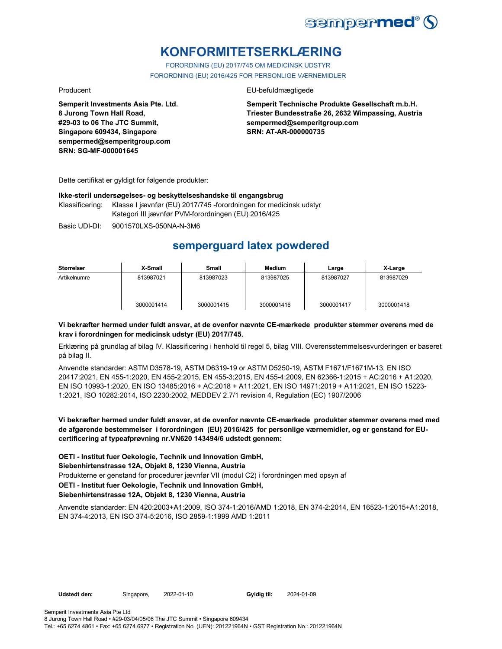

# **KONFORMITETSERKLÆRING**

FORORDNING (EU) 2017/745 OM MEDICINSK UDSTYR FORORDNING (EU) 2016/425 FOR PERSONLIGE VÆRNEMIDLER

**Semperit Investments Asia Pte. Ltd. 8 Jurong Town Hall Road, #29-03 to 06 The JTC Summit, Singapore 609434, Singapore sempermed@semperitgroup.com SRN: SG-MF-000001645**

## Producent EU-befuldmægtigede

**Semperit Technische Produkte Gesellschaft m.b.H. Triester Bundesstraße 26, 2632 Wimpassing, Austria sempermed@semperitgroup.com SRN: AT-AR-000000735**

Dette certifikat er gyldigt for følgende produkter:

## **Ikke-steril undersøgelses- og beskyttelseshandske til engangsbrug**

Klassificering: Klasse I jævnfør (EU) 2017/745 -forordningen for medicinsk udstyr Kategori III jævnfør PVM-forordningen (EU) 2016/425

Basic UDI-DI: 9001570LXS-050NA-N-3M6

# **semperguard latex powdered**

| Størrelser   | X-Small    | Small      | Medium     | Large      | X-Large    |
|--------------|------------|------------|------------|------------|------------|
| Artikelnumre | 813987021  | 813987023  | 813987025  | 813987027  | 813987029  |
|              | 3000001414 | 3000001415 | 3000001416 | 3000001417 | 3000001418 |

## **Vi bekræfter hermed under fuldt ansvar, at de ovenfor nævnte CE-mærkede produkter stemmer overens med de krav i forordningen for medicinsk udstyr (EU) 2017/745.**

Erklæring på grundlag af bilag IV. Klassificering i henhold til regel 5, bilag VIII. Overensstemmelsesvurderingen er baseret på bilag II.

Anvendte standarder: ASTM D3578-19, ASTM D6319-19 or ASTM D5250-19, ASTM F1671/F1671M-13, EN ISO 20417:2021, EN 455-1:2020, EN 455-2:2015, EN 455-3:2015, EN 455-4:2009, EN 62366-1:2015 + AC:2016 + A1:2020, EN ISO 10993-1:2020, EN ISO 13485:2016 + AC:2018 + A11:2021, EN ISO 14971:2019 + A11:2021, EN ISO 15223- 1:2021, ISO 10282:2014, ISO 2230:2002, MEDDEV 2.7/1 revision 4, Regulation (EC) 1907/2006

**Vi bekræfter hermed under fuldt ansvar, at de ovenfor nævnte CE-mærkede produkter stemmer overens med med de afgørende bestemmelser i forordningen (EU) 2016/425 for personlige værnemidler, og er genstand for EUcertificering af typeafprøvning nr.VN620 143494/6 udstedt gennem:**

**OETI - Institut fuer Oekologie, Technik und Innovation GmbH,** 

## **Siebenhirtenstrasse 12A, Objekt 8, 1230 Vienna, Austria**

Produkterne er genstand for procedurer jævnfør VII (modul C2) i forordningen med opsyn af

# **OETI - Institut fuer Oekologie, Technik und Innovation GmbH,**

**Siebenhirtenstrasse 12A, Objekt 8, 1230 Vienna, Austria**

Anvendte standarder: EN 420:2003+A1:2009, ISO 374-1:2016/AMD 1:2018, EN 374-2:2014, EN 16523-1:2015+A1:2018, EN 374-4:2013, EN ISO 374-5:2016, ISO 2859-1:1999 AMD 1:2011

Udstedt den: Singapore, 2022-01-10

Gyldig til: 2024-01-09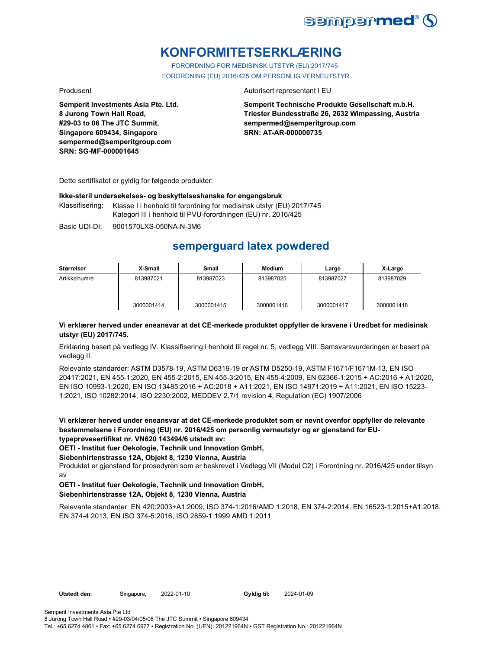

# **KONFORMITETSERKLÆRING**

FORORDNING FOR MEDISINSK UTSTYR (EU) 2017/745 FORORDNING (EU) 2016/425 OM PERSONLIG VERNEUTSTYR

**Semperit Investments Asia Pte. Ltd. 8 Jurong Town Hall Road, #29-03 to 06 The JTC Summit, Singapore 609434, Singapore sempermed@semperitgroup.com SRN: SG-MF-000001645**

## Produsent **Autorisert representant i EU**

**Semperit Technische Produkte Gesellschaft m.b.H. Triester Bundesstraße 26, 2632 Wimpassing, Austria sempermed@semperitgroup.com SRN: AT-AR-000000735**

Dette sertifikatet er gyldig for følgende produkter:

## **Ikke-steril undersøkelses- og beskyttelseshanske for engangsbruk**

Klassifisering: Klasse I i henhold til forordning for medisinsk utstyr (EU) 2017/745 Kategori III i henhold til PVU-forordningen (EU) nr. 2016/425

Basic UDI-DI: 9001570LXS-050NA-N-3M6

# **semperguard latex powdered**

| Størrelser    | X-Small    | Small      | Medium     | Large      | X-Large    |
|---------------|------------|------------|------------|------------|------------|
| Artikkelnumre | 813987021  | 813987023  | 813987025  | 813987027  | 813987029  |
|               | 3000001414 | 3000001415 | 3000001416 | 3000001417 | 3000001418 |

# **Vi erklærer herved under eneansvar at det CE-merkede produktet oppfyller de kravene i Uredbet for medisinsk utstyr (EU) 2017/745.**

Erklæring basert på vedlegg IV. Klassifisering i henhold til regel nr. 5, vedlegg VIII. Samsvarsvurderingen er basert på vedlegg II.

Relevante standarder: ASTM D3578-19, ASTM D6319-19 or ASTM D5250-19, ASTM F1671/F1671M-13, EN ISO 20417:2021, EN 455-1:2020, EN 455-2:2015, EN 455-3:2015, EN 455-4:2009, EN 62366-1:2015 + AC:2016 + A1:2020, EN ISO 10993-1:2020, EN ISO 13485:2016 + AC:2018 + A11:2021, EN ISO 14971:2019 + A11:2021, EN ISO 15223- 1:2021, ISO 10282:2014, ISO 2230:2002, MEDDEV 2.7/1 revision 4, Regulation (EC) 1907/2006

**Vi erklærer herved under eneansvar at det CE-merkede produktet som er nevnt ovenfor oppfyller de relevante bestemmelsene i Forordning (EU) nr. 2016/425 om personlig verneutstyr og er gjenstand for EUtypeprøvesertifikat nr. VN620 143494/6 utstedt av:**

**OETI - Institut fuer Oekologie, Technik und Innovation GmbH,** 

## **Siebenhirtenstrasse 12A, Objekt 8, 1230 Vienna, Austria**

Produktet er gjenstand for prosedyren som er beskrevet i Vedlegg VII (Modul C2) i Forordning nr. 2016/425 under tilsyn av

# **OETI - Institut fuer Oekologie, Technik und Innovation GmbH, Siebenhirtenstrasse 12A, Objekt 8, 1230 Vienna, Austria**

Relevante standarder: EN 420:2003+A1:2009, ISO 374-1:2016/AMD 1:2018, EN 374-2:2014, EN 16523-1:2015+A1:2018, EN 374-4:2013, EN ISO 374-5:2016, ISO 2859-1:1999 AMD 1:2011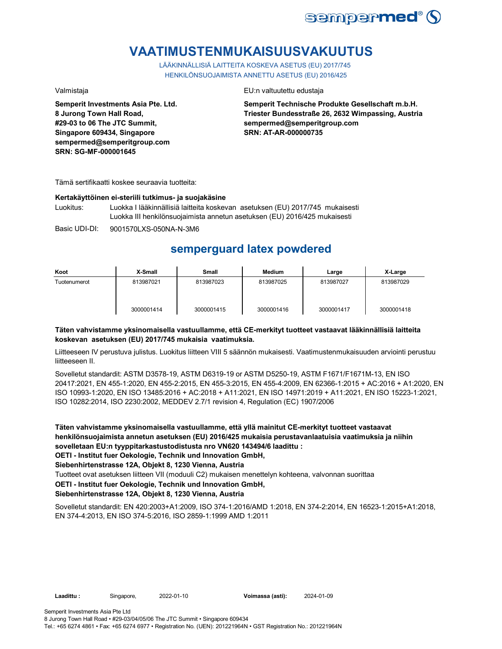

# **VAATIMUSTENMUKAISUUSVAKUUTUS**

LÄÄKINNÄLLISIÄ LAITTEITA KOSKEVA ASETUS (EU) 2017/745 HENKILÖNSUOJAIMISTA ANNETTU ASETUS (EU) 2016/425

**Semperit Investments Asia Pte. Ltd. 8 Jurong Town Hall Road, #29-03 to 06 The JTC Summit, Singapore 609434, Singapore sempermed@semperitgroup.com SRN: SG-MF-000001645**

## Valmistaja EU:n valtuutettu edustaja

**Semperit Technische Produkte Gesellschaft m.b.H. Triester Bundesstraße 26, 2632 Wimpassing, Austria sempermed@semperitgroup.com SRN: AT-AR-000000735**

Tämä sertifikaatti koskee seuraavia tuotteita:

### **Kertakäyttöinen ei-steriili tutkimus- ja suojakäsine**

Luokitus: Luokka I lääkinnällisiä laitteita koskevan asetuksen (EU) 2017/745 mukaisesti Luokka III henkilönsuojaimista annetun asetuksen (EU) 2016/425 mukaisesti

Basic UDI-DI: 9001570LXS-050NA-N-3M6

# **semperguard latex powdered**

| Koot         | X-Small    | Small      | <b>Medium</b> | Large      | X-Large    |
|--------------|------------|------------|---------------|------------|------------|
| Tuotenumerot | 813987021  | 813987023  | 813987025     | 813987027  | 813987029  |
|              | 3000001414 | 3000001415 | 3000001416    | 3000001417 | 3000001418 |

# **Täten vahvistamme yksinomaisella vastuullamme, että CE-merkityt tuotteet vastaavat lääkinnällisiä laitteita koskevan asetuksen (EU) 2017/745 mukaisia vaatimuksia.**

Liitteeseen IV perustuva julistus. Luokitus liitteen VIII 5 säännön mukaisesti. Vaatimustenmukaisuuden arviointi perustuu liitteeseen II.

Sovelletut standardit: ASTM D3578-19, ASTM D6319-19 or ASTM D5250-19, ASTM F1671/F1671M-13, EN ISO 20417:2021, EN 455-1:2020, EN 455-2:2015, EN 455-3:2015, EN 455-4:2009, EN 62366-1:2015 + AC:2016 + A1:2020, EN ISO 10993-1:2020, EN ISO 13485:2016 + AC:2018 + A11:2021, EN ISO 14971:2019 + A11:2021, EN ISO 15223-1:2021, ISO 10282:2014, ISO 2230:2002, MEDDEV 2.7/1 revision 4, Regulation (EC) 1907/2006

**Täten vahvistamme yksinomaisella vastuullamme, että yllä mainitut CE-merkityt tuotteet vastaavat henkilönsuojaimista annetun asetuksen (EU) 2016/425 mukaisia perustavanlaatuisia vaatimuksia ja niihin sovelletaan EU:n tyyppitarkastustodistusta nro VN620 143494/6 laadittu : OETI - Institut fuer Oekologie, Technik und Innovation GmbH,** 

**Siebenhirtenstrasse 12A, Objekt 8, 1230 Vienna, Austria**

Tuotteet ovat asetuksen liitteen VII (moduuli C2) mukaisen menettelyn kohteena, valvonnan suorittaa

## **OETI - Institut fuer Oekologie, Technik und Innovation GmbH,**

# **Siebenhirtenstrasse 12A, Objekt 8, 1230 Vienna, Austria**

Sovelletut standardit: EN 420:2003+A1:2009, ISO 374-1:2016/AMD 1:2018, EN 374-2:2014, EN 16523-1:2015+A1:2018, EN 374-4:2013, EN ISO 374-5:2016, ISO 2859-1:1999 AMD 1:2011

**Laadittu :** Singapore, **Voimassa (asti):** 2022-01-10 2024-01-09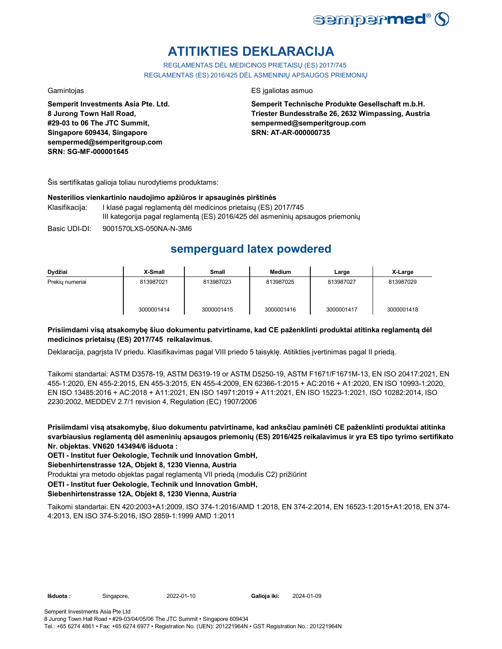

# **ATITIKTIES DEKLARACIJA**

REGLAMENTAS DĖL MEDICINOS PRIETAISŲ (ES) 2017/745 REGLAMENTAS (ES) 2016/425 DĖL ASMENINIŲ APSAUGOS PRIEMONIŲ

**Semperit Investments Asia Pte. Ltd. 8 Jurong Town Hall Road, #29-03 to 06 The JTC Summit, Singapore 609434, Singapore sempermed@semperitgroup.com SRN: SG-MF-000001645**

## Gamintojas ES įgaliotas asmuo

**Semperit Technische Produkte Gesellschaft m.b.H. Triester Bundesstraße 26, 2632 Wimpassing, Austria sempermed@semperitgroup.com SRN: AT-AR-000000735**

Šis sertifikatas galioja toliau nurodytiems produktams:

## **Nesterilios vienkartinio naudojimo apžiūros ir apsauginės pirštinės**

- Klasifikacija: I klasė pagal reglamentą dėl medicinos prietaisų (ES) 2017/745 III kategorija pagal reglamentą (ES) 2016/425 dėl asmeninių apsaugos priemonių
- Basic UDI-DI: 9001570LXS-050NA-N-3M6

# **semperguard latex powdered**

| Dydžiai         | X-Small    | <b>Small</b> | <b>Medium</b> | Large      | X-Large    |
|-----------------|------------|--------------|---------------|------------|------------|
| Prekiu numeriai | 813987021  | 813987023    | 813987025     | 813987027  | 813987029  |
|                 | 3000001414 | 3000001415   | 3000001416    | 3000001417 | 3000001418 |

# **Prisiimdami visą atsakomybę šiuo dokumentu patvirtiname, kad CE paženklinti produktai atitinka reglamentą dėl medicinos prietaisų (ES) 2017/745 reikalavimus.**

Deklaracija, pagrįsta IV priedu. Klasifikavimas pagal VIII priedo 5 taisyklę. Atitikties įvertinimas pagal II priedą.

Taikomi standartai: ASTM D3578-19, ASTM D6319-19 or ASTM D5250-19, ASTM F1671/F1671M-13, EN ISO 20417:2021, EN 455-1:2020, EN 455-2:2015, EN 455-3:2015, EN 455-4:2009, EN 62366-1:2015 + AC:2016 + A1:2020, EN ISO 10993-1:2020, EN ISO 13485:2016 + AC:2018 + A11:2021, EN ISO 14971:2019 + A11:2021, EN ISO 15223-1:2021, ISO 10282:2014, ISO 2230:2002, MEDDEV 2.7/1 revision 4, Regulation (EC) 1907/2006

**Prisiimdami visą atsakomybę, šiuo dokumentu patvirtiname, kad anksčiau paminėti CE paženklinti produktai atitinka svarbiausius reglamentą dėl asmeninių apsaugos priemonių (ES) 2016/425 reikalavimus ir yra ES tipo tyrimo sertifikato Nr. objektas. VN620 143494/6 išduota :**

**OETI - Institut fuer Oekologie, Technik und Innovation GmbH,** 

**Siebenhirtenstrasse 12A, Objekt 8, 1230 Vienna, Austria**

Produktai yra metodo objektas pagal reglamentą VII priedą (modulis C2) prižiūrint

**OETI - Institut fuer Oekologie, Technik und Innovation GmbH,** 

# **Siebenhirtenstrasse 12A, Objekt 8, 1230 Vienna, Austria**

Taikomi standartai: EN 420:2003+A1:2009, ISO 374-1:2016/AMD 1:2018, EN 374-2:2014, EN 16523-1:2015+A1:2018, EN 374- 4:2013, EN ISO 374-5:2016, ISO 2859-1:1999 AMD 1:2011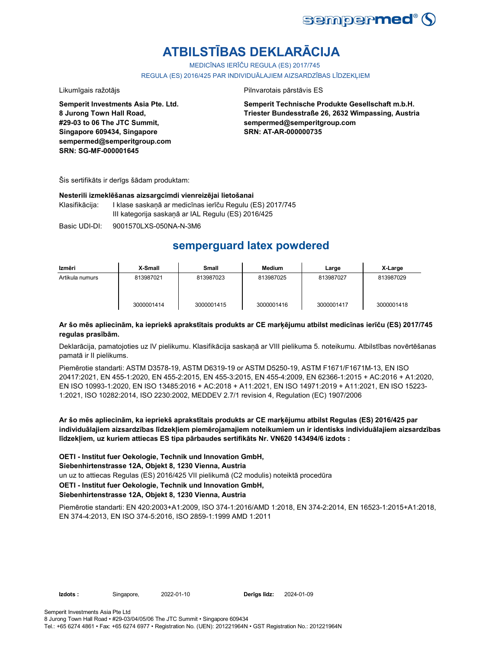

# **ATBILSTĪBAS DEKLARĀCIJA**

MEDICĪNAS IERĪČU REGULA (ES) 2017/745

REGULA (ES) 2016/425 PAR INDIVIDUĀLAJIEM AIZSARDZĪBAS LĪDZEKLIEM

Likumīgais ražotājs **Pilnvarotais pārstāvis ES** 

**Semperit Investments Asia Pte. Ltd. 8 Jurong Town Hall Road, #29-03 to 06 The JTC Summit, Singapore 609434, Singapore sempermed@semperitgroup.com SRN: SG-MF-000001645**

**Semperit Technische Produkte Gesellschaft m.b.H. Triester Bundesstraße 26, 2632 Wimpassing, Austria sempermed@semperitgroup.com SRN: AT-AR-000000735**

Šis sertifikāts ir derīgs šādam produktam:

### **Nesterili izmeklēšanas aizsargcimdi vienreizējai lietošanai**

Klasifikācija: I klase saskaņā ar medicīnas ierīču Regulu (ES) 2017/745 III kategorija saskaņā ar IAL Regulu (ES) 2016/425

Basic UDI-DI: 9001570LXS-050NA-N-3M6

# **semperguard latex powdered**

| Izmēri          | X-Small    | Small      | Medium     | Large      | X-Large    |
|-----------------|------------|------------|------------|------------|------------|
| Artikula numurs | 813987021  | 813987023  | 813987025  | 813987027  | 813987029  |
|                 | 3000001414 | 3000001415 | 3000001416 | 3000001417 | 3000001418 |

# **Ar šo mēs apliecinām, ka iepriekš aprakstītais produkts ar CE marķējumu atbilst medicīnas ierīču (ES) 2017/745 regulas prasībām.**

Deklarācija, pamatojoties uz IV pielikumu. Klasifikācija saskaņā ar VIII pielikuma 5. noteikumu. Atbilstības novērtēšanas pamatā ir II pielikums.

Piemērotie standarti: ASTM D3578-19, ASTM D6319-19 or ASTM D5250-19, ASTM F1671/F1671M-13, EN ISO 20417:2021, EN 455-1:2020, EN 455-2:2015, EN 455-3:2015, EN 455-4:2009, EN 62366-1:2015 + AC:2016 + A1:2020, EN ISO 10993-1:2020, EN ISO 13485:2016 + AC:2018 + A11:2021, EN ISO 14971:2019 + A11:2021, EN ISO 15223- 1:2021, ISO 10282:2014, ISO 2230:2002, MEDDEV 2.7/1 revision 4, Regulation (EC) 1907/2006

**Ar šo mēs apliecinām, ka iepriekš aprakstītais produkts ar CE marķējumu atbilst Regulas (ES) 2016/425 par individuālajiem aizsardzības līdzekļiem piemērojamajiem noteikumiem un ir identisks individuālajiem aizsardzības līdzekļiem, uz kuriem attiecas ES tipa pārbaudes sertifikāts Nr. VN620 143494/6 izdots :**

**OETI - Institut fuer Oekologie, Technik und Innovation GmbH,** 

# **Siebenhirtenstrasse 12A, Objekt 8, 1230 Vienna, Austria**

un uz to attiecas Regulas (ES) 2016/425 VII pielikumā (C2 modulis) noteiktā procedūra

# **OETI - Institut fuer Oekologie, Technik und Innovation GmbH,**

## **Siebenhirtenstrasse 12A, Objekt 8, 1230 Vienna, Austria**

Piemērotie standarti: EN 420:2003+A1:2009, ISO 374-1:2016/AMD 1:2018, EN 374-2:2014, EN 16523-1:2015+A1:2018, EN 374-4:2013, EN ISO 374-5:2016, ISO 2859-1:1999 AMD 1:2011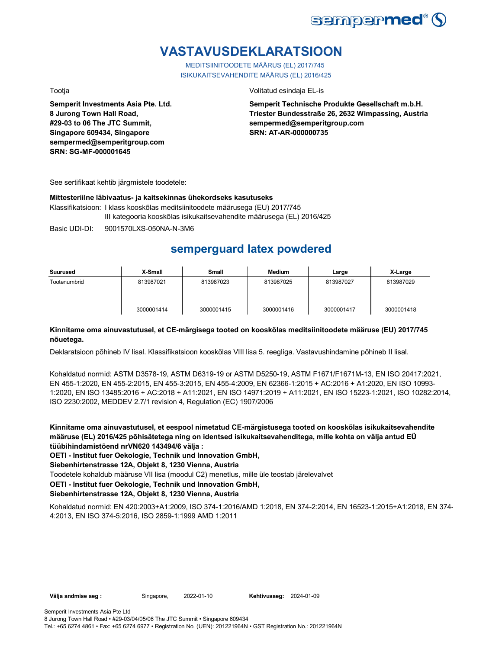

# **VASTAVUSDEKLARATSIOON**

MEDITSIINITOODETE MÄÄRUS (EL) 2017/745 ISIKUKAITSEVAHENDITE MÄÄRUS (EL) 2016/425

**Semperit Investments Asia Pte. Ltd. 8 Jurong Town Hall Road, #29-03 to 06 The JTC Summit, Singapore 609434, Singapore sempermed@semperitgroup.com SRN: SG-MF-000001645**

Tootja Volitatud esindaja EL-is

**Semperit Technische Produkte Gesellschaft m.b.H. Triester Bundesstraße 26, 2632 Wimpassing, Austria sempermed@semperitgroup.com SRN: AT-AR-000000735**

See sertifikaat kehtib järgmistele toodetele:

## **Mittesteriilne läbivaatus- ja kaitsekinnas ühekordseks kasutuseks**

Klassifikatsioon: I klass kooskõlas meditsiinitoodete määrusega (EU) 2017/745 III kategooria kooskõlas isikukaitsevahendite määrusega (EL) 2016/425

Basic UDI-DI: 9001570LXS-050NA-N-3M6

# **semperguard latex powdered**

| Suurused     | X-Small    | <b>Small</b> | <b>Medium</b> | Large      | X-Large    |
|--------------|------------|--------------|---------------|------------|------------|
| Tootenumbrid | 813987021  | 813987023    | 813987025     | 813987027  | 813987029  |
|              | 3000001414 | 3000001415   | 3000001416    | 3000001417 | 3000001418 |

# **Kinnitame oma ainuvastutusel, et CE-märgisega tooted on kooskõlas meditsiinitoodete määruse (EU) 2017/745 nõuetega.**

Deklaratsioon põhineb IV lisal. Klassifikatsioon kooskõlas VIII lisa 5. reegliga. Vastavushindamine põhineb II lisal.

Kohaldatud normid: ASTM D3578-19, ASTM D6319-19 or ASTM D5250-19, ASTM F1671/F1671M-13, EN ISO 20417:2021, EN 455-1:2020, EN 455-2:2015, EN 455-3:2015, EN 455-4:2009, EN 62366-1:2015 + AC:2016 + A1:2020, EN ISO 10993- 1:2020, EN ISO 13485:2016 + AC:2018 + A11:2021, EN ISO 14971:2019 + A11:2021, EN ISO 15223-1:2021, ISO 10282:2014, ISO 2230:2002, MEDDEV 2.7/1 revision 4, Regulation (EC) 1907/2006

**Kinnitame oma ainuvastutusel, et eespool nimetatud CE-märgistusega tooted on kooskõlas isikukaitsevahendite määruse (EL) 2016/425 põhisätetega ning on identsed isikukaitsevahenditega, mille kohta on välja antud EÜ tüübihindamistõend nrVN620 143494/6 välja :**

**OETI - Institut fuer Oekologie, Technik und Innovation GmbH,** 

**Siebenhirtenstrasse 12A, Objekt 8, 1230 Vienna, Austria**

Toodetele kohaldub määruse VII lisa (moodul C2) menetlus, mille üle teostab järelevalvet

**OETI - Institut fuer Oekologie, Technik und Innovation GmbH,** 

# **Siebenhirtenstrasse 12A, Objekt 8, 1230 Vienna, Austria**

Kohaldatud normid: EN 420:2003+A1:2009, ISO 374-1:2016/AMD 1:2018, EN 374-2:2014, EN 16523-1:2015+A1:2018, EN 374- 4:2013, EN ISO 374-5:2016, ISO 2859-1:1999 AMD 1:2011

**Välja andmise aeg :** Singapore, 2022-01-10

**Kehtivusaeg: 2024-01-09**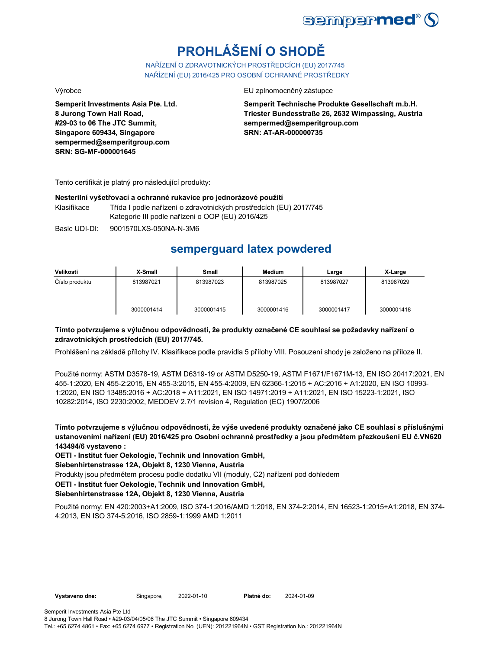

# **PROHLÁŠENÍ O SHODĚ**

NAŘÍZENÍ O ZDRAVOTNICKÝCH PROSTŘEDCÍCH (EU) 2017/745 NAŘÍZENÍ (EU) 2016/425 PRO OSOBNÍ OCHRANNÉ PROSTŘEDKY

**Semperit Investments Asia Pte. Ltd. 8 Jurong Town Hall Road, #29-03 to 06 The JTC Summit, Singapore 609434, Singapore sempermed@semperitgroup.com SRN: SG-MF-000001645**

Výrobce EU zplnomocněný zástupce

**Semperit Technische Produkte Gesellschaft m.b.H. Triester Bundesstraße 26, 2632 Wimpassing, Austria sempermed@semperitgroup.com SRN: AT-AR-000000735**

Tento certifikát je platný pro následující produkty:

## **Nesterilní vyšetřovací a ochranné rukavice pro jednorázové použití**

Klasifikace Třída I podle nařízení o zdravotnických prostředcích (EU) 2017/745 Kategorie III podle nařízení o OOP (EU) 2016/425

Basic UDI-DI: 9001570LXS-050NA-N-3M6

# **semperguard latex powdered**

| Velikosti      | X-Small    | Small      | <b>Medium</b> | Large      | X-Large    |
|----------------|------------|------------|---------------|------------|------------|
| Číslo produktu | 813987021  | 813987023  | 813987025     | 813987027  | 813987029  |
|                | 3000001414 | 3000001415 | 3000001416    | 3000001417 | 3000001418 |

# **Tímto potvrzujeme s výlučnou odpovědností, že produkty označené CE souhlasí se požadavky nařízení o zdravotnických prostředcích (EU) 2017/745.**

Prohlášení na základě přílohy IV. Klasifikace podle pravidla 5 přílohy VIII. Posouzení shody je založeno na příloze II.

Použité normy: ASTM D3578-19, ASTM D6319-19 or ASTM D5250-19, ASTM F1671/F1671M-13, EN ISO 20417:2021, EN 455-1:2020, EN 455-2:2015, EN 455-3:2015, EN 455-4:2009, EN 62366-1:2015 + AC:2016 + A1:2020, EN ISO 10993- 1:2020, EN ISO 13485:2016 + AC:2018 + A11:2021, EN ISO 14971:2019 + A11:2021, EN ISO 15223-1:2021, ISO 10282:2014, ISO 2230:2002, MEDDEV 2.7/1 revision 4, Regulation (EC) 1907/2006

**Tímto potvrzujeme s výlučnou odpovědností, že výše uvedené produkty označené jako CE souhlasí s příslušnými ustanoveními nařízení (EU) 2016/425 pro Osobní ochranné prostředky a jsou předmětem přezkoušení EU č.VN620 143494/6 vystaveno :**

**OETI - Institut fuer Oekologie, Technik und Innovation GmbH,** 

**Siebenhirtenstrasse 12A, Objekt 8, 1230 Vienna, Austria**

Produkty jsou předmětem procesu podle dodatku VII (moduly, C2) nařízení pod dohledem

**OETI - Institut fuer Oekologie, Technik und Innovation GmbH,** 

# **Siebenhirtenstrasse 12A, Objekt 8, 1230 Vienna, Austria**

Použité normy: EN 420:2003+A1:2009, ISO 374-1:2016/AMD 1:2018, EN 374-2:2014, EN 16523-1:2015+A1:2018, EN 374- 4:2013, EN ISO 374-5:2016, ISO 2859-1:1999 AMD 1:2011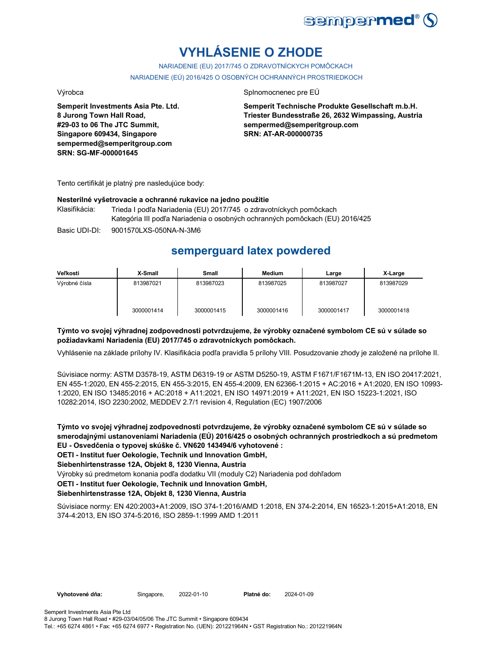

# **VYHLÁSENIE O ZHODE**

NARIADENIE (EU) 2017/745 O ZDRAVOTNÍCKYCH POMÔCKACH NARIADENIE (EÚ) 2016/425 O OSOBNÝCH OCHRANNÝCH PROSTRIEDKOCH

**Semperit Investments Asia Pte. Ltd. 8 Jurong Town Hall Road, #29-03 to 06 The JTC Summit, Singapore 609434, Singapore sempermed@semperitgroup.com SRN: SG-MF-000001645**

### Výrobca **Splnomocnenec pre EÚ**

**Semperit Technische Produkte Gesellschaft m.b.H. Triester Bundesstraße 26, 2632 Wimpassing, Austria sempermed@semperitgroup.com SRN: AT-AR-000000735**

Tento certifikát je platný pre nasledujúce body:

### **Nesterilné vyšetrovacie a ochranné rukavice na jedno použitie**

Klasifikácia: Trieda I podľa Nariadenia (EU) 2017/745 o zdravotníckych pomôckach Kategória III podľa Nariadenia o osobných ochranných pomôckach (EU) 2016/425

Basic UDI-DI: 9001570LXS-050NA-N-3M6

# **semperguard latex powdered**

| Veľkosti      | X-Small    | Small      | <b>Medium</b> | Large      | X-Large    |
|---------------|------------|------------|---------------|------------|------------|
| Výrobné čísla | 813987021  | 813987023  | 813987025     | 813987027  | 813987029  |
|               | 3000001414 | 3000001415 | 3000001416    | 3000001417 | 3000001418 |

## **Týmto vo svojej výhradnej zodpovednosti potvrdzujeme, že výrobky označené symbolom CE sú v súlade so požiadavkami Nariadenia (EU) 2017/745 o zdravotníckych pomôckach.**

Vyhlásenie na základe prílohy IV. Klasifikácia podľa pravidla 5 prílohy VIII. Posudzovanie zhody je založené na prílohe II.

Súvisiace normy: ASTM D3578-19, ASTM D6319-19 or ASTM D5250-19, ASTM F1671/F1671M-13, EN ISO 20417:2021, EN 455-1:2020, EN 455-2:2015, EN 455-3:2015, EN 455-4:2009, EN 62366-1:2015 + AC:2016 + A1:2020, EN ISO 10993- 1:2020, EN ISO 13485:2016 + AC:2018 + A11:2021, EN ISO 14971:2019 + A11:2021, EN ISO 15223-1:2021, ISO 10282:2014, ISO 2230:2002, MEDDEV 2.7/1 revision 4, Regulation (EC) 1907/2006

**Týmto vo svojej výhradnej zodpovednosti potvrdzujeme, že výrobky označené symbolom CE sú v súlade so smerodajnými ustanoveniami Nariadenia (EÚ) 2016/425 o osobných ochranných prostriedkoch a sú predmetom EU - Osvedčenia o typovej skúške č. VN620 143494/6 vyhotovené :**

**OETI - Institut fuer Oekologie, Technik und Innovation GmbH,** 

**Siebenhirtenstrasse 12A, Objekt 8, 1230 Vienna, Austria**

Výrobky sú predmetom konania podľa dodatku VII (moduly C2) Nariadenia pod dohľadom

**OETI - Institut fuer Oekologie, Technik und Innovation GmbH,** 

## **Siebenhirtenstrasse 12A, Objekt 8, 1230 Vienna, Austria**

Súvisiace normy: EN 420:2003+A1:2009, ISO 374-1:2016/AMD 1:2018, EN 374-2:2014, EN 16523-1:2015+A1:2018, EN 374-4:2013, EN ISO 374-5:2016, ISO 2859-1:1999 AMD 1:2011

Vyhotovené dňa: Singapore, 2022-01-10 Platné do:

2024-01-09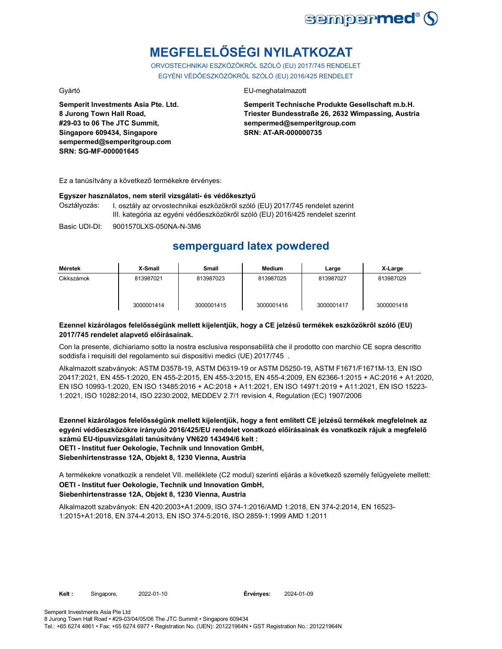

# **MEGFELELŐSÉGI NYILATKOZAT**

ORVOSTECHNIKAI ESZKÖZÖKRŐL SZÓLÓ (EU) 2017/745 RENDELET EGYÉNI VÉDŐESZKÖZÖKRŐL SZÓLÓ (EU) 2016/425 RENDELET

**Semperit Investments Asia Pte. Ltd. 8 Jurong Town Hall Road, #29-03 to 06 The JTC Summit, Singapore 609434, Singapore sempermed@semperitgroup.com SRN: SG-MF-000001645**

# Gyártó EU-meghatalmazott

**Semperit Technische Produkte Gesellschaft m.b.H. Triester Bundesstraße 26, 2632 Wimpassing, Austria sempermed@semperitgroup.com SRN: AT-AR-000000735**

Ez a tanúsítvány a következő termékekre érvényes:

### **Egyszer használatos, nem steril vizsgálati- és védőkesztyű**

Osztályozás: I. osztály az orvostechnikai eszközökről szóló (EU) 2017/745 rendelet szerint III. kategória az egyéni védőeszközökről szóló (EU) 2016/425 rendelet szerint

Basic UDI-DI: 9001570LXS-050NA-N-3M6

# **semperguard latex powdered**

| Méretek    | X-Small    | Small      | Medium     | Large      | X-Large    |
|------------|------------|------------|------------|------------|------------|
| Cikkszámok | 813987021  | 813987023  | 813987025  | 813987027  | 813987029  |
|            | 3000001414 | 3000001415 | 3000001416 | 3000001417 | 3000001418 |

## **Ezennel kizárólagos felelősségünk mellett kijelentjük, hogy a CE jelzésű termékek eszközökről szóló (EU) 2017/745 rendelet alapvető előírásainak.**

Con la presente, dichiariamo sotto la nostra esclusiva responsabilità che il prodotto con marchio CE sopra descritto soddisfa i requisiti del regolamento sui dispositivi medici (UE) 2017/745 .

Alkalmazott szabványok: ASTM D3578-19, ASTM D6319-19 or ASTM D5250-19, ASTM F1671/F1671M-13, EN ISO 20417:2021, EN 455-1:2020, EN 455-2:2015, EN 455-3:2015, EN 455-4:2009, EN 62366-1:2015 + AC:2016 + A1:2020, EN ISO 10993-1:2020, EN ISO 13485:2016 + AC:2018 + A11:2021, EN ISO 14971:2019 + A11:2021, EN ISO 15223- 1:2021, ISO 10282:2014, ISO 2230:2002, MEDDEV 2.7/1 revision 4, Regulation (EC) 1907/2006

**Ezennel kizárólagos felelősségünk mellett kijelentjük, hogy a fent említett CE jelzésű termékek megfelelnek az egyéni védőeszközökre irányuló 2016/425/EU rendelet vonatkozó előírásainak és vonatkozik rájuk a megfelelő számú EU-típusvizsgálati tanúsítvány VN620 143494/6 kelt : OETI - Institut fuer Oekologie, Technik und Innovation GmbH,** 

**Siebenhirtenstrasse 12A, Objekt 8, 1230 Vienna, Austria**

A termékekre vonatkozik a rendelet VII. melléklete (C2 modul) szerinti eljárás a következő személy felügyelete mellett: **OETI - Institut fuer Oekologie, Technik und Innovation GmbH, Siebenhirtenstrasse 12A, Objekt 8, 1230 Vienna, Austria**

Alkalmazott szabványok: EN 420:2003+A1:2009, ISO 374-1:2016/AMD 1:2018, EN 374-2:2014, EN 16523- 1:2015+A1:2018, EN 374-4:2013, EN ISO 374-5:2016, ISO 2859-1:1999 AMD 1:2011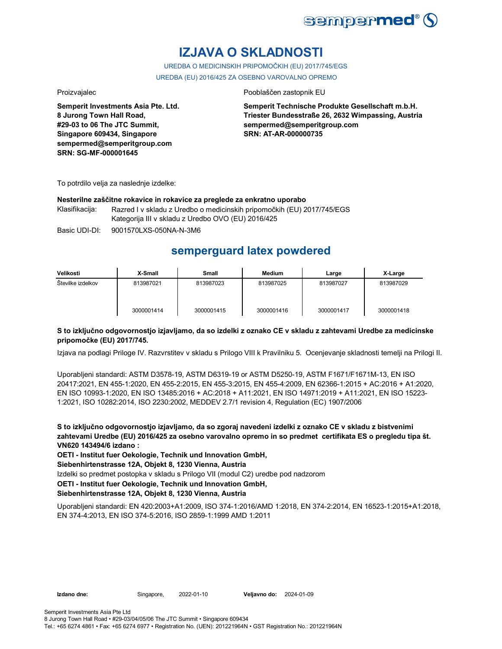

# **IZJAVA O SKLADNOSTI**

UREDBA O MEDICINSKIH PRIPOMOČKIH (EU) 2017/745/EGS UREDBA (EU) 2016/425 ZA OSEBNO VAROVALNO OPREMO

**Semperit Investments Asia Pte. Ltd. 8 Jurong Town Hall Road, #29-03 to 06 The JTC Summit, Singapore 609434, Singapore sempermed@semperitgroup.com SRN: SG-MF-000001645**

## Proizvajalec Pooblaščen zastopnik EU

**Semperit Technische Produkte Gesellschaft m.b.H. Triester Bundesstraße 26, 2632 Wimpassing, Austria sempermed@semperitgroup.com SRN: AT-AR-000000735**

To potrdilo velja za naslednje izdelke:

### **Nesterilne zaščitne rokavice in rokavice za preglede za enkratno uporabo**

Klasifikacija: Razred I v skladu z Uredbo o medicinskih pripomočkih (EU) 2017/745/EGS Kategorija III v skladu z Uredbo OVO (EU) 2016/425

Basic UDI-DI: 9001570LXS-050NA-N-3M6

# **semperguard latex powdered**

| Velikosti         | X-Small    | <b>Small</b> | <b>Medium</b> | Large      | X-Large    |
|-------------------|------------|--------------|---------------|------------|------------|
| Stevilke izdelkov | 813987021  | 813987023    | 813987025     | 813987027  | 813987029  |
|                   | 3000001414 | 3000001415   | 3000001416    | 3000001417 | 3000001418 |

## **S to izključno odgovornostjo izjavljamo, da so izdelki z oznako CE v skladu z zahtevami Uredbe za medicinske pripomočke (EU) 2017/745.**

Izjava na podlagi Priloge IV. Razvrstitev v skladu s Prilogo VIII k Pravilniku 5. Ocenjevanje skladnosti temelji na Prilogi II.

Uporabljeni standardi: ASTM D3578-19, ASTM D6319-19 or ASTM D5250-19, ASTM F1671/F1671M-13, EN ISO 20417:2021, EN 455-1:2020, EN 455-2:2015, EN 455-3:2015, EN 455-4:2009, EN 62366-1:2015 + AC:2016 + A1:2020, EN ISO 10993-1:2020, EN ISO 13485:2016 + AC:2018 + A11:2021, EN ISO 14971:2019 + A11:2021, EN ISO 15223- 1:2021, ISO 10282:2014, ISO 2230:2002, MEDDEV 2.7/1 revision 4, Regulation (EC) 1907/2006

**S to izključno odgovornostjo izjavljamo, da so zgoraj navedeni izdelki z oznako CE v skladu z bistvenimi zahtevami Uredbe (EU) 2016/425 za osebno varovalno opremo in so predmet certifikata ES o pregledu tipa št. VN620 143494/6 izdano :**

**OETI - Institut fuer Oekologie, Technik und Innovation GmbH,** 

**Siebenhirtenstrasse 12A, Objekt 8, 1230 Vienna, Austria**

Izdelki so predmet postopka v skladu s Prilogo VII (modul C2) uredbe pod nadzorom

**OETI - Institut fuer Oekologie, Technik und Innovation GmbH,** 

## **Siebenhirtenstrasse 12A, Objekt 8, 1230 Vienna, Austria**

Uporabljeni standardi: EN 420:2003+A1:2009, ISO 374-1:2016/AMD 1:2018, EN 374-2:2014, EN 16523-1:2015+A1:2018, EN 374-4:2013, EN ISO 374-5:2016, ISO 2859-1:1999 AMD 1:2011

**Izdano dne:** Singapore, 2022-01-10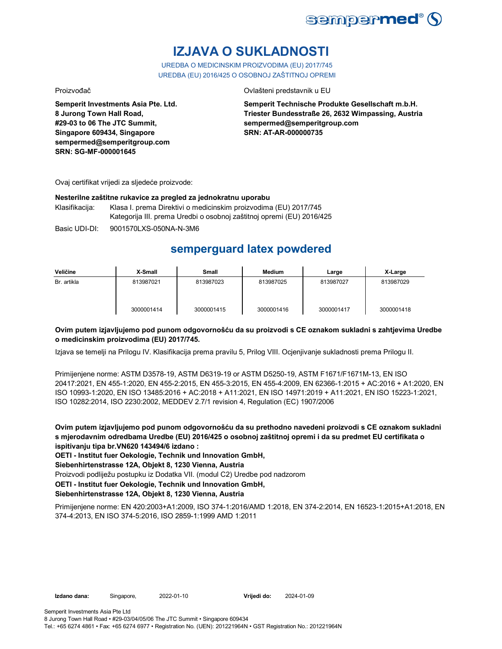

# **IZJAVA O SUKLADNOSTI**

UREDBA O MEDICINSKIM PROIZVODIMA (EU) 2017/745 UREDBA (EU) 2016/425 O OSOBNOJ ZAŠTITNOJ OPREMI

Proizvođač Ovlašteni predstavnik u EU

**Semperit Investments Asia Pte. Ltd. 8 Jurong Town Hall Road, #29-03 to 06 The JTC Summit, Singapore 609434, Singapore sempermed@semperitgroup.com SRN: SG-MF-000001645**

**Semperit Technische Produkte Gesellschaft m.b.H. Triester Bundesstraße 26, 2632 Wimpassing, Austria sempermed@semperitgroup.com SRN: AT-AR-000000735**

Ovaj certifikat vrijedi za sljedeće proizvode:

## **Nesterilne zaštitne rukavice za pregled za jednokratnu uporabu**

Klasifikacija: Klasa I. prema Direktivi o medicinskim proizvodima (EU) 2017/745 Kategorija III. prema Uredbi o osobnoj zaštitnoj opremi (EU) 2016/425

Basic UDI-DI: 9001570LXS-050NA-N-3M6

# **semperguard latex powdered**

| Veličine    | X-Small    | Small      | <b>Medium</b> | Large      | X-Large    |
|-------------|------------|------------|---------------|------------|------------|
| Br. artikla | 813987021  | 813987023  | 813987025     | 813987027  | 813987029  |
|             | 3000001414 | 3000001415 | 3000001416    | 3000001417 | 3000001418 |

# **Ovim putem izjavljujemo pod punom odgovornošću da su proizvodi s CE oznakom sukladni s zahtjevima Uredbe o medicinskim proizvodima (EU) 2017/745.**

Izjava se temelji na Prilogu IV. Klasifikacija prema pravilu 5, Prilog VIII. Ocjenjivanje sukladnosti prema Prilogu II.

Primijenjene norme: ASTM D3578-19, ASTM D6319-19 or ASTM D5250-19, ASTM F1671/F1671M-13, EN ISO 20417:2021, EN 455-1:2020, EN 455-2:2015, EN 455-3:2015, EN 455-4:2009, EN 62366-1:2015 + AC:2016 + A1:2020, EN ISO 10993-1:2020, EN ISO 13485:2016 + AC:2018 + A11:2021, EN ISO 14971:2019 + A11:2021, EN ISO 15223-1:2021, ISO 10282:2014, ISO 2230:2002, MEDDEV 2.7/1 revision 4, Regulation (EC) 1907/2006

**Ovim putem izjavljujemo pod punom odgovornošću da su prethodno navedeni proizvodi s CE oznakom sukladni s mjerodavnim odredbama Uredbe (EU) 2016/425 o osobnoj zaštitnoj opremi i da su predmet EU certifikata o ispitivanju tipa br.VN620 143494/6 izdano :**

**OETI - Institut fuer Oekologie, Technik und Innovation GmbH,** 

**Siebenhirtenstrasse 12A, Objekt 8, 1230 Vienna, Austria**

Proizvodi podliježu postupku iz Dodatka VII. (modul C2) Uredbe pod nadzorom

**OETI - Institut fuer Oekologie, Technik und Innovation GmbH,** 

# **Siebenhirtenstrasse 12A, Objekt 8, 1230 Vienna, Austria**

Primijenjene norme: EN 420:2003+A1:2009, ISO 374-1:2016/AMD 1:2018, EN 374-2:2014, EN 16523-1:2015+A1:2018, EN 374-4:2013, EN ISO 374-5:2016, ISO 2859-1:1999 AMD 1:2011

Tel.: +65 6274 4861 • Fax: +65 6274 6977 • Registration No. (UEN): 201221964N • GST Registration No.: 201221964N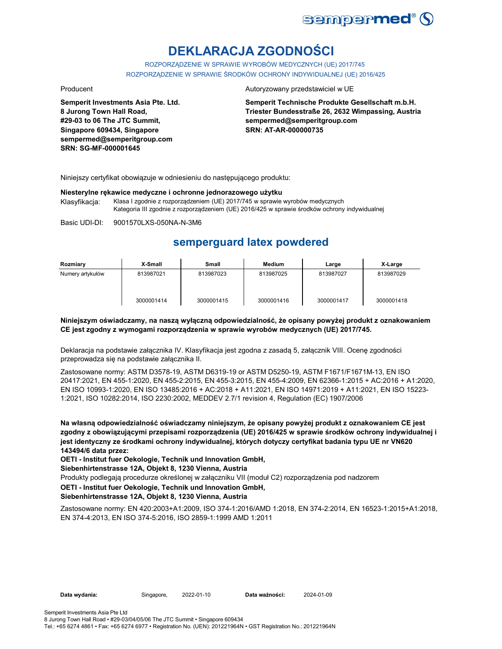

# **DEKLARACJA ZGODNOŚCI**

ROZPORZĄDZENIE W SPRAWIE WYROBÓW MEDYCZNYCH (UE) 2017/745 ROZPORZĄDZENIE W SPRAWIE ŚRODKÓW OCHRONY INDYWIDUALNEJ (UE) 2016/425

**Semperit Investments Asia Pte. Ltd. 8 Jurong Town Hall Road, #29-03 to 06 The JTC Summit, Singapore 609434, Singapore sempermed@semperitgroup.com SRN: SG-MF-000001645**

### Producent **Autoryzowany przedstawiciel w UE**

**Semperit Technische Produkte Gesellschaft m.b.H. Triester Bundesstraße 26, 2632 Wimpassing, Austria sempermed@semperitgroup.com SRN: AT-AR-000000735**

Niniejszy certyfikat obowiązuje w odniesieniu do następującego produktu:

### **Niesterylne rękawice medyczne i ochronne jednorazowego użytku**

Klasyfikacja: Klasa I zgodnie z rozporządzeniem (UE) 2017/745 w sprawie wyrobów medycznych Kategoria III zgodnie z rozporządzeniem (UE) 2016/425 w sprawie środków ochrony indywidualnej

Basic UDI-DI: 9001570LXS-050NA-N-3M6

# **semperguard latex powdered**

| Rozmiary         | X-Small    | Small      | Medium     | Large      | X-Large    |
|------------------|------------|------------|------------|------------|------------|
| Numery artykułów | 813987021  | 813987023  | 813987025  | 813987027  | 813987029  |
|                  | 3000001414 | 3000001415 | 3000001416 | 3000001417 | 3000001418 |

## **Niniejszym oświadczamy, na naszą wyłączną odpowiedzialność, że opisany powyżej produkt z oznakowaniem CE jest zgodny z wymogami rozporządzenia w sprawie wyrobów medycznych (UE) 2017/745.**

Deklaracja na podstawie załącznika IV. Klasyfikacja jest zgodna z zasadą 5, załącznik VIII. Ocenę zgodności przeprowadza się na podstawie załącznika II.

Zastosowane normy: ASTM D3578-19, ASTM D6319-19 or ASTM D5250-19, ASTM F1671/F1671M-13, EN ISO 20417:2021, EN 455-1:2020, EN 455-2:2015, EN 455-3:2015, EN 455-4:2009, EN 62366-1:2015 + AC:2016 + A1:2020, EN ISO 10993-1:2020, EN ISO 13485:2016 + AC:2018 + A11:2021, EN ISO 14971:2019 + A11:2021, EN ISO 15223- 1:2021, ISO 10282:2014, ISO 2230:2002, MEDDEV 2.7/1 revision 4, Regulation (EC) 1907/2006

**Na własną odpowiedzialność oświadczamy niniejszym, że opisany powyżej produkt z oznakowaniem CE jest zgodny z obowiązującymi przepisami rozporządzenia (UE) 2016/425 w sprawie środków ochrony indywidualnej i jest identyczny ze środkami ochrony indywidualnej, których dotyczy certyfikat badania typu UE nr VN620 143494/6 data przez:**

**OETI - Institut fuer Oekologie, Technik und Innovation GmbH,** 

**Siebenhirtenstrasse 12A, Objekt 8, 1230 Vienna, Austria**

Produkty podlegają procedurze określonej w załączniku VII (moduł C2) rozporządzenia pod nadzorem

### **OETI - Institut fuer Oekologie, Technik und Innovation GmbH,**

## **Siebenhirtenstrasse 12A, Objekt 8, 1230 Vienna, Austria**

Zastosowane normy: EN 420:2003+A1:2009, ISO 374-1:2016/AMD 1:2018, EN 374-2:2014, EN 16523-1:2015+A1:2018, EN 374-4:2013, EN ISO 374-5:2016, ISO 2859-1:1999 AMD 1:2011

Data wydania: Singapore, 2022-01-10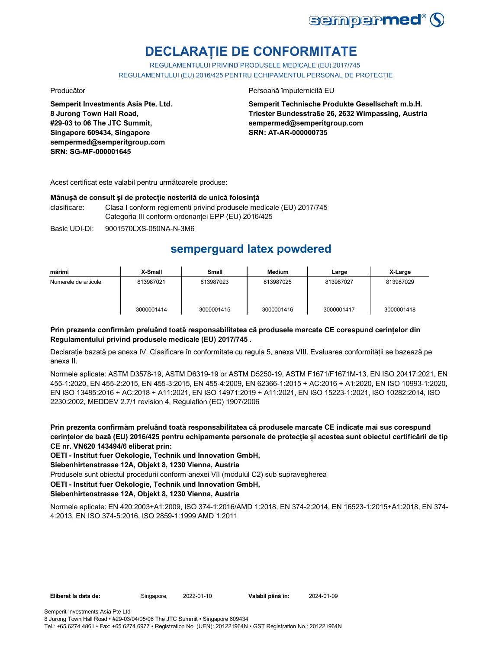

# **DECLARAȚIE DE CONFORMITATE**

REGULAMENTULUI PRIVIND PRODUSELE MEDICALE (EU) 2017/745 REGULAMENTULUI (EU) 2016/425 PENTRU ECHIPAMENTUL PERSONAL DE PROTECȚIE

**Semperit Investments Asia Pte. Ltd. 8 Jurong Town Hall Road, #29-03 to 06 The JTC Summit, Singapore 609434, Singapore sempermed@semperitgroup.com SRN: SG-MF-000001645**

Producător **Producător** Persoană împuternicită EU

**Semperit Technische Produkte Gesellschaft m.b.H. Triester Bundesstraße 26, 2632 Wimpassing, Austria sempermed@semperitgroup.com SRN: AT-AR-000000735**

Acest certificat este valabil pentru următoarele produse:

# **Mânușă de consult și de protecție nesterilă de unică folosință**

clasificare: Clasa I conform règlementi privind produsele medicale (EU) 2017/745 Categoria III conform ordonanței EPP (EU) 2016/425

Basic UDI-DI: 9001570LXS-050NA-N-3M6

# **semperguard latex powdered**

| mărimi               | X-Small    | <b>Small</b> | Medium     | Large      | X-Large    |
|----------------------|------------|--------------|------------|------------|------------|
| Numerele de articole | 813987021  | 813987023    | 813987025  | 813987027  | 813987029  |
|                      | 3000001414 | 3000001415   | 3000001416 | 3000001417 | 3000001418 |

# **Prin prezenta confirmăm preluând toată responsabilitatea că produsele marcate CE corespund cerințelor din Regulamentului privind produsele medicale (EU) 2017/745 .**

Declarație bazată pe anexa IV. Clasificare în conformitate cu regula 5, anexa VIII. Evaluarea conformității se bazează pe anexa II.

Normele aplicate: ASTM D3578-19, ASTM D6319-19 or ASTM D5250-19, ASTM F1671/F1671M-13, EN ISO 20417:2021, EN 455-1:2020, EN 455-2:2015, EN 455-3:2015, EN 455-4:2009, EN 62366-1:2015 + AC:2016 + A1:2020, EN ISO 10993-1:2020, EN ISO 13485:2016 + AC:2018 + A11:2021, EN ISO 14971:2019 + A11:2021, EN ISO 15223-1:2021, ISO 10282:2014, ISO 2230:2002, MEDDEV 2.7/1 revision 4, Regulation (EC) 1907/2006

**Prin prezenta confirmăm preluând toată responsabilitatea că produsele marcate CE indicate mai sus corespund cerințelor de bază (EU) 2016/425 pentru echipamente personale de protecție și acestea sunt obiectul certificării de tip CE nr. VN620 143494/6 eliberat prin:**

**OETI - Institut fuer Oekologie, Technik und Innovation GmbH,** 

**Siebenhirtenstrasse 12A, Objekt 8, 1230 Vienna, Austria**

Produsele sunt obiectul procedurii conform anexei VII (modulul C2) sub supravegherea

**OETI - Institut fuer Oekologie, Technik und Innovation GmbH,** 

# **Siebenhirtenstrasse 12A, Objekt 8, 1230 Vienna, Austria**

Normele aplicate: EN 420:2003+A1:2009, ISO 374-1:2016/AMD 1:2018, EN 374-2:2014, EN 16523-1:2015+A1:2018, EN 374- 4:2013, EN ISO 374-5:2016, ISO 2859-1:1999 AMD 1:2011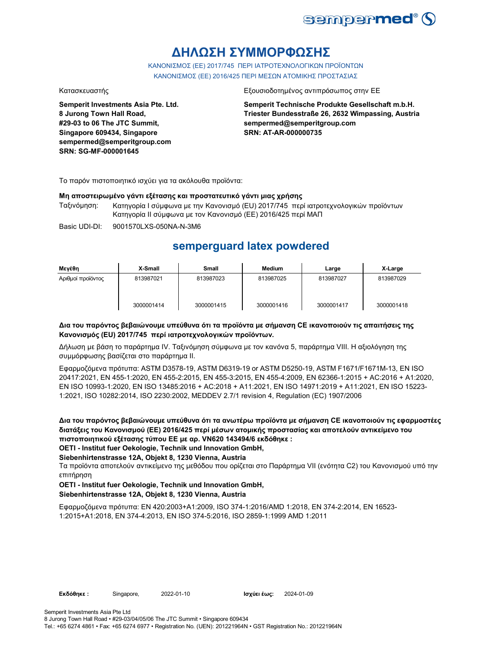

# **ΔΗΛΩΣΗ ΣΥΜΜΟΡΦΩΣΗΣ**

ΚΑΝΟΝΙΣΜΟΣ (EE) 2017/745 ΠΕΡΙ ΙΑΤΡΟΤΕΧΝΟΛΟΓΙΚΩΝ ΠΡΟΪΟΝΤΩΝ ΚΑΝΟΝΙΣΜΟΣ (ΕΕ) 2016/425 ΠΕΡΙ ΜΕΣΩΝ ΑΤΟΜΙΚΗΣ ΠΡΟΣΤΑΣΙΑΣ

**Semperit Investments Asia Pte. Ltd. 8 Jurong Town Hall Road, #29-03 to 06 The JTC Summit, Singapore 609434, Singapore sempermed@semperitgroup.com SRN: SG-MF-000001645**

## Κατασκευαστής Εξουσιοδοτημένος αντιπρόσωπος στην ΕΕ

**Semperit Technische Produkte Gesellschaft m.b.H. Triester Bundesstraße 26, 2632 Wimpassing, Austria sempermed@semperitgroup.com SRN: AT-AR-000000735**

Το παρόν πιστοποιητικό ισχύει για τα ακόλουθα προϊόντα:

### **Μη αποστειρωμένο γάντι εξέτασης και προστατευτικό γάντι μιας χρήσης**

Ταξινόμηση: Κατηγορία I σύμφωνα με την Κανονισμό (EU) 2017/745 περί ιατροτεχνολογικών προϊόντων Κατηγορία II σύμφωνα με τον Κανονισμό (ΕΕ) 2016/425 περί ΜΑΠ

Basic UDI-DI: 9001570LXS-050NA-N-3M6

# **semperguard latex powdered**

| Μενέθη            | X-Small    | Small      | Medium     | Large      | X-Large    |
|-------------------|------------|------------|------------|------------|------------|
| Αριθμοί προϊόντος | 813987021  | 813987023  | 813987025  | 813987027  | 813987029  |
|                   | 3000001414 | 3000001415 | 3000001416 | 3000001417 | 3000001418 |

## **Δια του παρόντος βεβαιώνουμε υπεύθυνα ότι τα προϊόντα με σήμανση CE ικανοποιούν τις απαιτήσεις της Κανονισμός (EU) 2017/745 περί ιατροτεχνολογικών προϊόντων.**

Δήλωση με βάση το παράρτημα IV. Ταξινόμηση σύμφωνα με τον κανόνα 5, παράρτημα VIII. Η αξιολόγηση της συμμόρφωσης βασίζεται στο παράρτημα II.

Εφαρμοζόμενα πρότυπα: ASTM D3578-19, ASTM D6319-19 or ASTM D5250-19, ASTM F1671/F1671M-13, EN ISO 20417:2021, EN 455-1:2020, EN 455-2:2015, EN 455-3:2015, EN 455-4:2009, EN 62366-1:2015 + AC:2016 + A1:2020, EN ISO 10993-1:2020, EN ISO 13485:2016 + AC:2018 + A11:2021, EN ISO 14971:2019 + A11:2021, EN ISO 15223- 1:2021, ISO 10282:2014, ISO 2230:2002, MEDDEV 2.7/1 revision 4, Regulation (EC) 1907/2006

**Δια του παρόντος βεβαιώνουμε υπεύθυνα ότι τα ανωτέρω προϊόντα με σήμανση CE ικανοποιούν τις εφαρμοστέες διατάξεις του Κανονισμού (ΕΕ) 2016/425 περί μέσων ατομικής προστασίας και αποτελούν αντικείμενο του πιστοποιητικού εξέτασης τύπου ΕΕ με αρ. VN620 143494/6 εκδόθηκε :**

### **OETI - Institut fuer Oekologie, Technik und Innovation GmbH,**

**Siebenhirtenstrasse 12A, Objekt 8, 1230 Vienna, Austria**

Τα προϊόντα αποτελούν αντικείμενο της μεθόδου που ορίζεται στο Παράρτημα VII (ενότητα C2) του Κανονισμού υπό την επιτήρηση

## **OETI - Institut fuer Oekologie, Technik und Innovation GmbH, Siebenhirtenstrasse 12A, Objekt 8, 1230 Vienna, Austria**

Εφαρμοζόμενα πρότυπα: EN 420:2003+A1:2009, ISO 374-1:2016/AMD 1:2018, EN 374-2:2014, EN 16523- 1:2015+A1:2018, EN 374-4:2013, EN ISO 374-5:2016, ISO 2859-1:1999 AMD 1:2011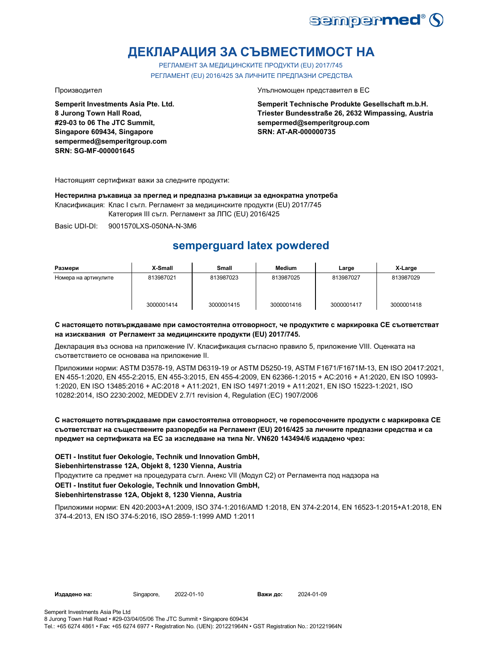

# **ДЕКЛАРАЦИЯ ЗА СЪВМЕСТИМОСТ НА**

РЕГЛАМЕНТ ЗА МЕДИЦИНСКИТЕ ПРОДУКТИ (EU) 2017/745 РЕГЛАМЕНТ (EU) 2016/425 ЗА ЛИЧНИТЕ ПРЕДПАЗНИ СРЕДСТВА

**Semperit Investments Asia Pte. Ltd. 8 Jurong Town Hall Road, #29-03 to 06 The JTC Summit, Singapore 609434, Singapore sempermed@semperitgroup.com SRN: SG-MF-000001645**

Производител Упълномощен представител в ЕС

**Semperit Technische Produkte Gesellschaft m.b.H. Triester Bundesstraße 26, 2632 Wimpassing, Austria sempermed@semperitgroup.com SRN: AT-AR-000000735**

Настоящият сертификат важи за следните продукти:

**Нестерилна ръкавица за преглед и предпазна ръкавици за еднократна употреба**

Класификация: Клас I съгл. Регламент за медицинските продукти (EU) 2017/745

Категория III съгл. Регламент за ЛПС (EU) 2016/425

Basic UDI-DI: 9001570LXS-050NA-N-3M6

# **semperguard latex powdered**

| Размери              | X-Small    | Small      | <b>Medium</b> | Large      | X-Large    |
|----------------------|------------|------------|---------------|------------|------------|
| Номера на артикулите | 813987021  | 813987023  | 813987025     | 813987027  | 813987029  |
|                      | 3000001414 | 3000001415 | 3000001416    | 3000001417 | 3000001418 |

## **С настоящето потвърждаваме при самостоятелна отговорност, че продуктите с маркировка СЕ съответстват на изисквания от Регламент за медицинските продукти (EU) 2017/745.**

Декларация въз основа на приложение IV. Класификация съгласно правило 5, приложение VIII. Оценката на съответствието се основава на приложение II.

Приложими норми: ASTM D3578-19, ASTM D6319-19 or ASTM D5250-19, ASTM F1671/F1671M-13, EN ISO 20417:2021, EN 455-1:2020, EN 455-2:2015, EN 455-3:2015, EN 455-4:2009, EN 62366-1:2015 + AC:2016 + A1:2020, EN ISO 10993- 1:2020, EN ISO 13485:2016 + AC:2018 + A11:2021, EN ISO 14971:2019 + A11:2021, EN ISO 15223-1:2021, ISO 10282:2014, ISO 2230:2002, MEDDEV 2.7/1 revision 4, Regulation (EC) 1907/2006

# **С настоящето потвърждаваме при самостоятелна отговорност, че горепосочените продукти с маркировка СЕ съответстват на съществените разпоредби на Регламент (EU) 2016/425 за личните предпазни средства и са предмет на сертификата на ЕС за изследване на типа Nr. VN620 143494/6 издадено чрез:**

**OETI - Institut fuer Oekologie, Technik und Innovation GmbH,** 

## **Siebenhirtenstrasse 12A, Objekt 8, 1230 Vienna, Austria**

Продуктите са предмет на процедурата съгл. Анекс VII (Модул С2) от Регламента под надзора на

# **OETI - Institut fuer Oekologie, Technik und Innovation GmbH,**

# **Siebenhirtenstrasse 12A, Objekt 8, 1230 Vienna, Austria**

Приложими норми: EN 420:2003+A1:2009, ISO 374-1:2016/AMD 1:2018, EN 374-2:2014, EN 16523-1:2015+A1:2018, EN 374-4:2013, EN ISO 374-5:2016, ISO 2859-1:1999 AMD 1:2011

**Издадено на:** Singapore, **Важи до:**

2024-01-09